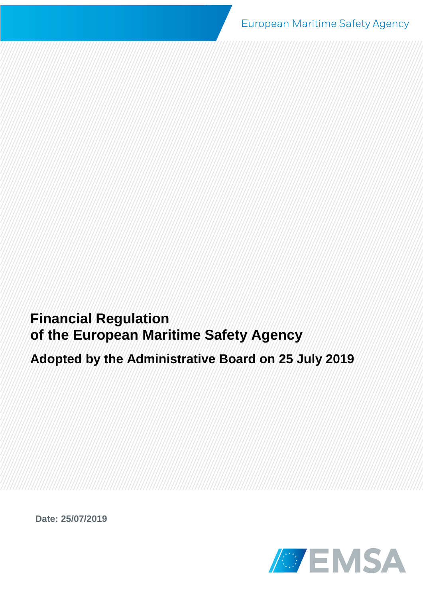European Maritime Safety Agency

**Financial Regulation of the European Maritime Safety Agency**

**Adopted by the Administrative Board on 25 July 2019**

**Date: 25/07/2019**

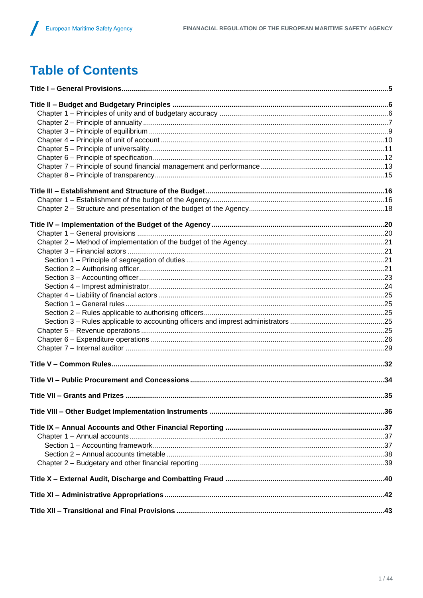# **Table of Contents**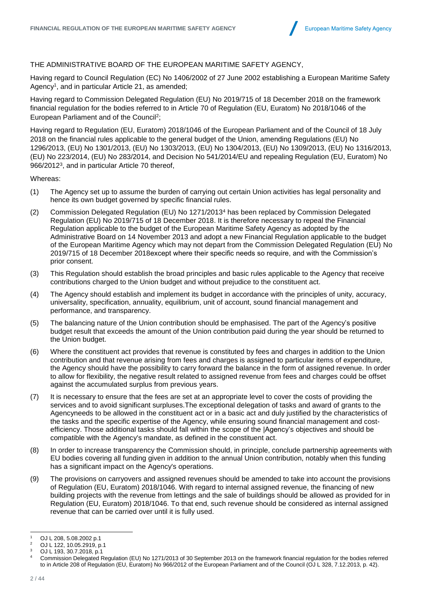

# THE ADMINISTRATIVE BOARD OF THE EUROPEAN MARITIME SAFETY AGENCY,

Having regard to Council Regulation (EC) No 1406/2002 of 27 June 2002 establishing a European Maritime Safety Agency<sup>1</sup>, and in particular Article 21, as amended;

Having regard to Commission Delegated Regulation (EU) No 2019/715 of 18 December 2018 on the framework financial regulation for the bodies referred to in Article 70 of Regulation (EU, Euratom) No 2018/1046 of the European Parliament and of the Council<sup>2</sup>;

Having regard to Regulation (EU, Euratom) 2018/1046 of the European Parliament and of the Council of 18 July 2018 on the financial rules applicable to the general budget of the Union, amending Regulations (EU) No 1296/2013, (EU) No 1301/2013, (EU) No 1303/2013, (EU) No 1304/2013, (EU) No 1309/2013, (EU) No 1316/2013, (EU) No 223/2014, (EU) No 283/2014, and Decision No 541/2014/EU and repealing Regulation (EU, Euratom) No 966/2012<sup>3</sup> , and in particular Article 70 thereof,

Whereas:

- (1) The Agency set up to assume the burden of carrying out certain Union activities has legal personality and hence its own budget governed by specific financial rules.
- (2) Commission Delegated Regulation (EU) No 1271/2013<sup>4</sup> has been replaced by Commission Delegated Regulation (EU) No 2019/715 of 18 December 2018. It is therefore necessary to repeal the Financial Regulation applicable to the budget of the European Maritime Safety Agency as adopted by the Administrative Board on 14 November 2013 and adopt a new Financial Regulation applicable to the budget of the European Maritime Agency which may not depart from the Commission Delegated Regulation (EU) No 2019/715 of 18 December 2018except where their specific needs so require, and with the Commission's prior consent.
- (3) This Regulation should establish the broad principles and basic rules applicable to the Agency that receive contributions charged to the Union budget and without prejudice to the constituent act.
- (4) The Agency should establish and implement its budget in accordance with the principles of unity, accuracy, universality, specification, annuality, equilibrium, unit of account, sound financial management and performance, and transparency.
- (5) The balancing nature of the Union contribution should be emphasised. The part of the Agency's positive budget result that exceeds the amount of the Union contribution paid during the year should be returned to the Union budget.
- (6) Where the constituent act provides that revenue is constituted by fees and charges in addition to the Union contribution and that revenue arising from fees and charges is assigned to particular items of expenditure, the Agency should have the possibility to carry forward the balance in the form of assigned revenue. In order to allow for flexibility, the negative result related to assigned revenue from fees and charges could be offset against the accumulated surplus from previous years.
- (7) It is necessary to ensure that the fees are set at an appropriate level to cover the costs of providing the services and to avoid significant surpluses.The exceptional delegation of tasks and award of grants to the Agencyneeds to be allowed in the constituent act or in a basic act and duly justified by the characteristics of the tasks and the specific expertise of the Agency, while ensuring sound financial management and costefficiency. Those additional tasks should fall within the scope of the |Agency's objectives and should be compatible with the Agency's mandate, as defined in the constituent act.
- (8) In order to increase transparency the Commission should, in principle, conclude partnership agreements with EU bodies covering all funding given in addition to the annual Union contribution, notably when this funding has a significant impact on the Agency's operations.
- (9) The provisions on carryovers and assigned revenues should be amended to take into account the provisions of Regulation (EU, Euratom) 2018/1046. With regard to internal assigned revenue, the financing of new building projects with the revenue from lettings and the sale of buildings should be allowed as provided for in Regulation (EU, Euratom) 2018/1046. To that end, such revenue should be considered as internal assigned revenue that can be carried over until it is fully used.

l  $1$  OJ L 208, 5.08.2002 p.1

<sup>&</sup>lt;sup>2</sup> OJ L 122, 10.05.2919, p.1

<sup>3</sup> OJ L 193, 30.7.2018, p.1

<sup>4</sup> Commission Delegated Regulation (EU) No 1271/2013 of 30 September 2013 on the framework financial regulation for the bodies referred to in Article 208 of Regulation (EU, Euratom) No 966/2012 of the European Parliament and of the Council (OJ L 328, 7.12.2013, p. 42).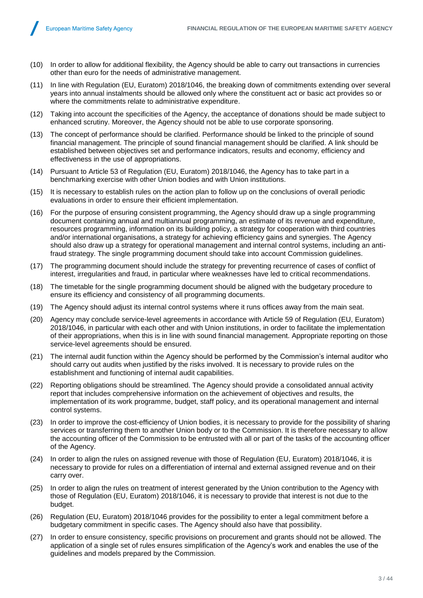- (10) In order to allow for additional flexibility, the Agency should be able to carry out transactions in currencies other than euro for the needs of administrative management.
- (11) In line with Regulation (EU, Euratom) 2018/1046, the breaking down of commitments extending over several years into annual instalments should be allowed only where the constituent act or basic act provides so or where the commitments relate to administrative expenditure.
- (12) Taking into account the specificities of the Agency, the acceptance of donations should be made subject to enhanced scrutiny. Moreover, the Agency should not be able to use corporate sponsoring.
- (13) The concept of performance should be clarified. Performance should be linked to the principle of sound financial management. The principle of sound financial management should be clarified. A link should be established between objectives set and performance indicators, results and economy, efficiency and effectiveness in the use of appropriations.
- (14) Pursuant to Article 53 of Regulation (EU, Euratom) 2018/1046, the Agency has to take part in a benchmarking exercise with other Union bodies and with Union institutions.
- (15) It is necessary to establish rules on the action plan to follow up on the conclusions of overall periodic evaluations in order to ensure their efficient implementation.
- (16) For the purpose of ensuring consistent programming, the Agency should draw up a single programming document containing annual and multiannual programming, an estimate of its revenue and expenditure, resources programming, information on its building policy, a strategy for cooperation with third countries and/or international organisations, a strategy for achieving efficiency gains and synergies. The Agency should also draw up a strategy for operational management and internal control systems, including an antifraud strategy. The single programming document should take into account Commission guidelines.
- (17) The programming document should include the strategy for preventing recurrence of cases of conflict of interest, irregularities and fraud, in particular where weaknesses have led to critical recommendations.
- (18) The timetable for the single programming document should be aligned with the budgetary procedure to ensure its efficiency and consistency of all programming documents.
- (19) The Agency should adjust its internal control systems where it runs offices away from the main seat.
- (20) Agency may conclude service-level agreements in accordance with Article 59 of Regulation (EU, Euratom) 2018/1046, in particular with each other and with Union institutions, in order to facilitate the implementation of their appropriations, when this is in line with sound financial management. Appropriate reporting on those service-level agreements should be ensured.
- (21) The internal audit function within the Agency should be performed by the Commission's internal auditor who should carry out audits when justified by the risks involved. It is necessary to provide rules on the establishment and functioning of internal audit capabilities.
- (22) Reporting obligations should be streamlined. The Agency should provide a consolidated annual activity report that includes comprehensive information on the achievement of objectives and results, the implementation of its work programme, budget, staff policy, and its operational management and internal control systems.
- (23) In order to improve the cost-efficiency of Union bodies, it is necessary to provide for the possibility of sharing services or transferring them to another Union body or to the Commission. It is therefore necessary to allow the accounting officer of the Commission to be entrusted with all or part of the tasks of the accounting officer of the Agency.
- (24) In order to align the rules on assigned revenue with those of Regulation (EU, Euratom) 2018/1046, it is necessary to provide for rules on a differentiation of internal and external assigned revenue and on their carry over.
- (25) In order to align the rules on treatment of interest generated by the Union contribution to the Agency with those of Regulation (EU, Euratom) 2018/1046, it is necessary to provide that interest is not due to the budget.
- (26) Regulation (EU, Euratom) 2018/1046 provides for the possibility to enter a legal commitment before a budgetary commitment in specific cases. The Agency should also have that possibility.
- (27) In order to ensure consistency, specific provisions on procurement and grants should not be allowed. The application of a single set of rules ensures simplification of the Agency's work and enables the use of the guidelines and models prepared by the Commission.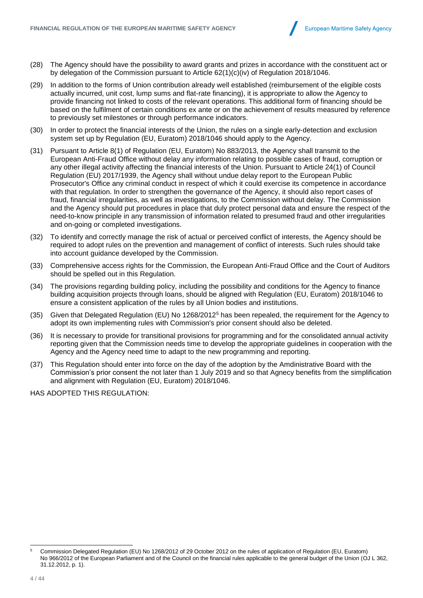

- (28) The Agency should have the possibility to award grants and prizes in accordance with the constituent act or by delegation of the Commission pursuant to Article 62(1)(c)(iv) of Regulation 2018/1046.
- (29) In addition to the forms of Union contribution already well established (reimbursement of the eligible costs actually incurred, unit cost, lump sums and flat-rate financing), it is appropriate to allow the Agency to provide financing not linked to costs of the relevant operations. This additional form of financing should be based on the fulfilment of certain conditions ex ante or on the achievement of results measured by reference to previously set milestones or through performance indicators.
- (30) In order to protect the financial interests of the Union, the rules on a single early-detection and exclusion system set up by Regulation (EU, Euratom) 2018/1046 should apply to the Agency.
- (31) Pursuant to Article 8(1) of Regulation (EU, Euratom) No 883/2013, the Agency shall transmit to the European Anti-Fraud Office without delay any information relating to possible cases of fraud, corruption or any other illegal activity affecting the financial interests of the Union. Pursuant to Article 24(1) of Council Regulation (EU) 2017/1939, the Agency shall without undue delay report to the European Public Prosecutor's Office any criminal conduct in respect of which it could exercise its competence in accordance with that regulation. In order to strengthen the governance of the Agency, it should also report cases of fraud, financial irregularities, as well as investigations, to the Commission without delay. The Commission and the Agency should put procedures in place that duly protect personal data and ensure the respect of the need-to-know principle in any transmission of information related to presumed fraud and other irregularities and on-going or completed investigations.
- (32) To identify and correctly manage the risk of actual or perceived conflict of interests, the Agency should be required to adopt rules on the prevention and management of conflict of interests. Such rules should take into account guidance developed by the Commission.
- (33) Comprehensive access rights for the Commission, the European Anti-Fraud Office and the Court of Auditors should be spelled out in this Regulation.
- (34) The provisions regarding building policy, including the possibility and conditions for the Agency to finance building acquisition projects through loans, should be aligned with Regulation (EU, Euratom) 2018/1046 to ensure a consistent application of the rules by all Union bodies and institutions.
- (35) Given that Delegated Regulation (EU) No 1268/2012<sup>5</sup> has been repealed, the requirement for the Agency to adopt its own implementing rules with Commission's prior consent should also be deleted.
- (36) It is necessary to provide for transitional provisions for programming and for the consolidated annual activity reporting given that the Commission needs time to develop the appropriate guidelines in cooperation with the Agency and the Agency need time to adapt to the new programming and reporting.
- (37) This Regulation should enter into force on the day of the adoption by the Amdinistrative Board with the Commission's prior consent the not later than 1 July 2019 and so that Agnecy benefits from the simplification and alignment with Regulation (EU, Euratom) 2018/1046.

HAS ADOPTED THIS REGULATION:

l

<sup>5</sup> Commission Delegated Regulation (EU) No 1268/2012 of 29 October 2012 on the rules of application of Regulation (EU, Euratom) No 966/2012 of the European Parliament and of the Council on the financial rules applicable to the general budget of the Union (OJ L 362, 31.12.2012, p. 1).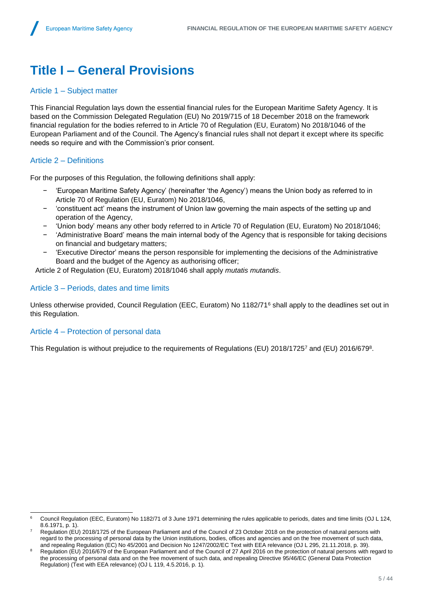# <span id="page-6-0"></span>**Title I – General Provisions**

# Article 1 – Subject matter

This Financial Regulation lays down the essential financial rules for the European Maritime Safety Agency. It is based on the Commission Delegated Regulation (EU) No 2019/715 of 18 December 2018 on the framework financial regulation for the bodies referred to in Article 70 of Regulation (EU, Euratom) No 2018/1046 of the European Parliament and of the Council. The Agency's financial rules shall not depart it except where its specific needs so require and with the Commission's prior consent.

# Article 2 – Definitions

For the purposes of this Regulation, the following definitions shall apply:

- − 'European Maritime Safety Agency' (hereinafter 'the Agency') means the Union body as referred to in Article 70 of Regulation (EU, Euratom) No 2018/1046,
- − 'constituent act' means the instrument of Union law governing the main aspects of the setting up and operation of the Agency,
- − 'Union body' means any other body referred to in Article 70 of Regulation (EU, Euratom) No 2018/1046;
- − 'Administrative Board' means the main internal body of the Agency that is responsible for taking decisions on financial and budgetary matters;
- − 'Executive Director' means the person responsible for implementing the decisions of the Administrative Board and the budget of the Agency as authorising officer;

Article 2 of Regulation (EU, Euratom) 2018/1046 shall apply *mutatis mutandis*.

## Article 3 – Periods, dates and time limits

Unless otherwise provided, Council Regulation (EEC, Euratom) No 1182/71<sup>6</sup> shall apply to the deadlines set out in this Regulation.

# Article 4 – Protection of personal data

This Regulation is without prejudice to the requirements of Regulations (EU) 2018/1725<sup>7</sup> and (EU) 2016/679<sup>8</sup> .

l <sup>6</sup> Council Regulation (EEC, Euratom) No 1182/71 of 3 June 1971 determining the rules applicable to periods, dates and time limits [\(OJ L](https://eur-lex.europa.eu/legal-content/EN/AUTO/?uri=OJ:L:1971:124:TOC) 124, [8.6.1971, p.](https://eur-lex.europa.eu/legal-content/EN/AUTO/?uri=OJ:L:1971:124:TOC) 1).

<sup>7</sup> Regulation (EU) 2018/1725 of the European Parliament and of the Council of 23 October 2018 on the protection of natural persons with regard to the processing of personal data by the Union institutions, bodies, offices and agencies and on the free movement of such data, and repealing Regulation (EC) No 45/2001 and Decision No 1247/2002/EC Text with EEA relevance (OJ L 295, 21.11.2018, p. 39).

<sup>8</sup> Regulation (EU) 2016/679 of the European Parliament and of the Council of 27 April 2016 on the protection of natural persons with regard to the processing of personal data and on the free movement of such data, and repealing Directive 95/46/EC (General Data Protection Regulation) (Text with EEA relevance) (OJ L 119, 4.5.2016, p. 1).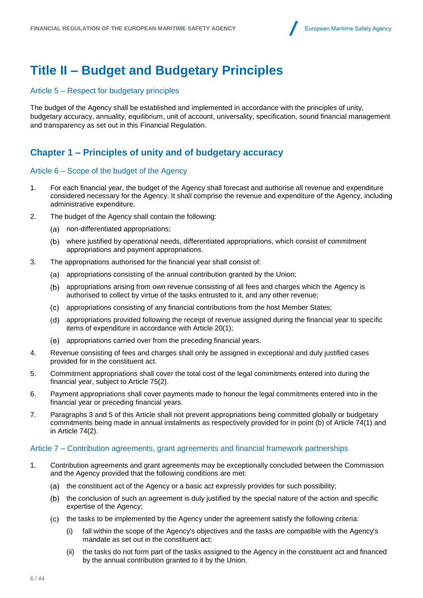# <span id="page-7-0"></span>**Title II – Budget and Budgetary Principles**

## Article 5 – Respect for budgetary principles

The budget of the Agency shall be established and implemented in accordance with the principles of unity, budgetary accuracy, annuality, equilibrium, unit of account, universality, specification, sound financial management and transparency as set out in this Financial Regulation.

# <span id="page-7-1"></span>**Chapter 1 – Principles of unity and of budgetary accuracy**

## Article 6 – Scope of the budget of the Agency

- 1. For each financial year, the budget of the Agency shall forecast and authorise all revenue and expenditure considered necessary for the Agency. It shall comprise the revenue and expenditure of the Agency, including administrative expenditure.
- 2. The budget of the Agency shall contain the following:
	- non-differentiated appropriations;
	- where justified by operational needs, differentiated appropriations, which consist of commitment appropriations and payment appropriations.
- 3. The appropriations authorised for the financial year shall consist of:
	- (a) appropriations consisting of the annual contribution granted by the Union;
	- appropriations arising from own revenue consisting of all fees and charges which the Agency is authorised to collect by virtue of the tasks entrusted to it, and any other revenue;
	- appropriations consisting of any financial contributions from the host Member States;
	- appropriations provided following the receipt of revenue assigned during the financial year to specific items of expenditure in accordance with Article 20(1);
	- appropriations carried over from the preceding financial years.
- 4. Revenue consisting of fees and charges shall only be assigned in exceptional and duly justified cases provided for in the constituent act.
- 5. Commitment appropriations shall cover the total cost of the legal commitments entered into during the financial year, subject to Article 75(2).
- 6. Payment appropriations shall cover payments made to honour the legal commitments entered into in the financial year or preceding financial years.
- 7. Paragraphs 3 and 5 of this Article shall not prevent appropriations being committed globally or budgetary commitments being made in annual instalments as respectively provided for in point (b) of Article 74(1) and in Article 74(2).

#### Article 7 – Contribution agreements, grant agreements and financial framework partnerships

- 1. Contribution agreements and grant agreements may be exceptionally concluded between the Commission and the Agency provided that the following conditions are met:
	- $(a)$  the constituent act of the Agency or a basic act expressly provides for such possibility;
	- (b) the conclusion of such an agreement is duly justified by the special nature of the action and specific expertise of the Agency;
	- $(c)$  the tasks to be implemented by the Agency under the agreement satisfy the following criteria:
		- (i) fall within the scope of the Agency's objectives and the tasks are compatible with the Agency's mandate as set out in the constituent act;
		- (ii) the tasks do not form part of the tasks assigned to the Agency in the constituent act and financed by the annual contribution granted to it by the Union.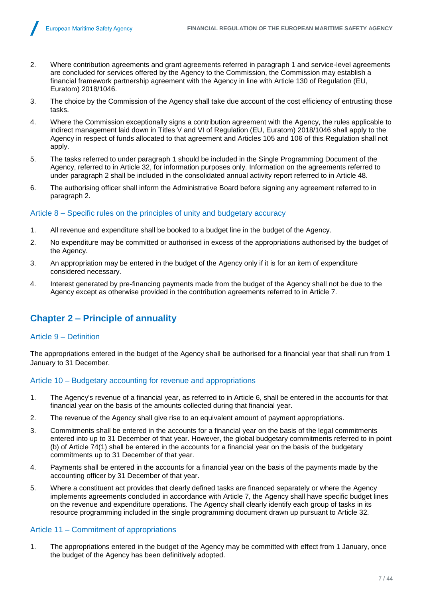- 2. Where contribution agreements and grant agreements referred in paragraph 1 and service-level agreements are concluded for services offered by the Agency to the Commission, the Commission may establish a financial framework partnership agreement with the Agency in line with Article 130 of Regulation (EU, Euratom) 2018/1046.
- 3. The choice by the Commission of the Agency shall take due account of the cost efficiency of entrusting those tasks.
- 4. Where the Commission exceptionally signs a contribution agreement with the Agency, the rules applicable to indirect management laid down in Titles V and VI of Regulation (EU, Euratom) 2018/1046 shall apply to the Agency in respect of funds allocated to that agreement and Articles 105 and 106 of this Regulation shall not apply.
- 5. The tasks referred to under paragraph 1 should be included in the Single Programming Document of the Agency, referred to in Article 32, for information purposes only. Information on the agreements referred to under paragraph 2 shall be included in the consolidated annual activity report referred to in Article 48.
- 6. The authorising officer shall inform the Administrative Board before signing any agreement referred to in paragraph 2.

## Article 8 – Specific rules on the principles of unity and budgetary accuracy

- 1. All revenue and expenditure shall be booked to a budget line in the budget of the Agency.
- 2. No expenditure may be committed or authorised in excess of the appropriations authorised by the budget of the Agency.
- 3. An appropriation may be entered in the budget of the Agency only if it is for an item of expenditure considered necessary.
- 4. Interest generated by pre-financing payments made from the budget of the Agency shall not be due to the Agency except as otherwise provided in the contribution agreements referred to in Article 7.

# <span id="page-8-0"></span>**Chapter 2 – Principle of annuality**

## Article 9 – Definition

The appropriations entered in the budget of the Agency shall be authorised for a financial year that shall run from 1 January to 31 December.

## Article 10 – Budgetary accounting for revenue and appropriations

- 1. The Agency's revenue of a financial year, as referred to in Article 6, shall be entered in the accounts for that financial year on the basis of the amounts collected during that financial year.
- 2. The revenue of the Agency shall give rise to an equivalent amount of payment appropriations.
- 3. Commitments shall be entered in the accounts for a financial year on the basis of the legal commitments entered into up to 31 December of that year. However, the global budgetary commitments referred to in point (b) of Article 74(1) shall be entered in the accounts for a financial year on the basis of the budgetary commitments up to 31 December of that year.
- 4. Payments shall be entered in the accounts for a financial year on the basis of the payments made by the accounting officer by 31 December of that year.
- 5. Where a constituent act provides that clearly defined tasks are financed separately or where the Agency implements agreements concluded in accordance with Article 7, the Agency shall have specific budget lines on the revenue and expenditure operations. The Agency shall clearly identify each group of tasks in its resource programming included in the single programming document drawn up pursuant to Article 32.

## Article 11 – Commitment of appropriations

1. The appropriations entered in the budget of the Agency may be committed with effect from 1 January, once the budget of the Agency has been definitively adopted.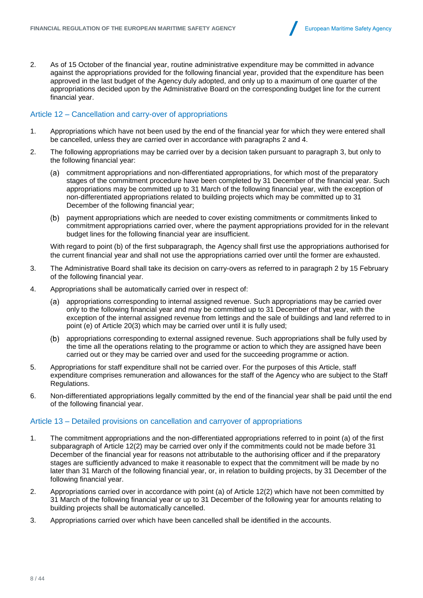

2. As of 15 October of the financial year, routine administrative expenditure may be committed in advance against the appropriations provided for the following financial year, provided that the expenditure has been approved in the last budget of the Agency duly adopted, and only up to a maximum of one quarter of the appropriations decided upon by the Administrative Board on the corresponding budget line for the current financial year.

## Article 12 – Cancellation and carry-over of appropriations

- 1. Appropriations which have not been used by the end of the financial year for which they were entered shall be cancelled, unless they are carried over in accordance with paragraphs 2 and 4.
- 2. The following appropriations may be carried over by a decision taken pursuant to paragraph 3, but only to the following financial year:
	- commitment appropriations and non-differentiated appropriations, for which most of the preparatory stages of the commitment procedure have been completed by 31 December of the financial year. Such appropriations may be committed up to 31 March of the following financial year, with the exception of non-differentiated appropriations related to building projects which may be committed up to 31 December of the following financial year;
	- (b) payment appropriations which are needed to cover existing commitments or commitments linked to commitment appropriations carried over, where the payment appropriations provided for in the relevant budget lines for the following financial year are insufficient.

With regard to point (b) of the first subparagraph, the Agency shall first use the appropriations authorised for the current financial year and shall not use the appropriations carried over until the former are exhausted.

- 3. The Administrative Board shall take its decision on carry-overs as referred to in paragraph 2 by 15 February of the following financial year.
- 4. Appropriations shall be automatically carried over in respect of:
	- appropriations corresponding to internal assigned revenue. Such appropriations may be carried over  $(a)$ only to the following financial year and may be committed up to 31 December of that year, with the exception of the internal assigned revenue from lettings and the sale of buildings and land referred to in point (e) of Article 20(3) which may be carried over until it is fully used;
	- (b) appropriations corresponding to external assigned revenue. Such appropriations shall be fully used by the time all the operations relating to the programme or action to which they are assigned have been carried out or they may be carried over and used for the succeeding programme or action.
- 5. Appropriations for staff expenditure shall not be carried over. For the purposes of this Article, staff expenditure comprises remuneration and allowances for the staff of the Agency who are subject to the Staff Regulations.
- 6. Non-differentiated appropriations legally committed by the end of the financial year shall be paid until the end of the following financial year.

## Article 13 – Detailed provisions on cancellation and carryover of appropriations

- 1. The commitment appropriations and the non-differentiated appropriations referred to in point (a) of the first subparagraph of Article 12(2) may be carried over only if the commitments could not be made before 31 December of the financial year for reasons not attributable to the authorising officer and if the preparatory stages are sufficiently advanced to make it reasonable to expect that the commitment will be made by no later than 31 March of the following financial year, or, in relation to building projects, by 31 December of the following financial year.
- 2. Appropriations carried over in accordance with point (a) of Article 12(2) which have not been committed by 31 March of the following financial year or up to 31 December of the following year for amounts relating to building projects shall be automatically cancelled.
- 3. Appropriations carried over which have been cancelled shall be identified in the accounts.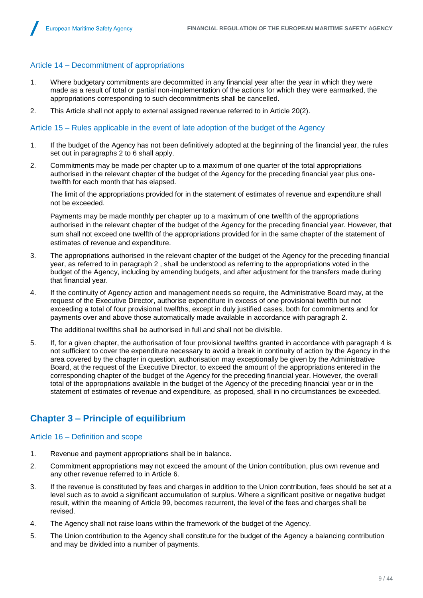# Article 14 – Decommitment of appropriations

- 1. Where budgetary commitments are decommitted in any financial year after the year in which they were made as a result of total or partial non-implementation of the actions for which they were earmarked, the appropriations corresponding to such decommitments shall be cancelled.
- 2. This Article shall not apply to external assigned revenue referred to in Article 20(2).

## Article 15 – Rules applicable in the event of late adoption of the budget of the Agency

- 1. If the budget of the Agency has not been definitively adopted at the beginning of the financial year, the rules set out in paragraphs 2 to 6 shall apply.
- 2. Commitments may be made per chapter up to a maximum of one quarter of the total appropriations authorised in the relevant chapter of the budget of the Agency for the preceding financial year plus onetwelfth for each month that has elapsed.

The limit of the appropriations provided for in the statement of estimates of revenue and expenditure shall not be exceeded.

Payments may be made monthly per chapter up to a maximum of one twelfth of the appropriations authorised in the relevant chapter of the budget of the Agency for the preceding financial year. However, that sum shall not exceed one twelfth of the appropriations provided for in the same chapter of the statement of estimates of revenue and expenditure.

- 3. The appropriations authorised in the relevant chapter of the budget of the Agency for the preceding financial year, as referred to in paragraph 2 , shall be understood as referring to the appropriations voted in the budget of the Agency, including by amending budgets, and after adjustment for the transfers made during that financial year.
- 4. If the continuity of Agency action and management needs so require, the Administrative Board may, at the request of the Executive Director, authorise expenditure in excess of one provisional twelfth but not exceeding a total of four provisional twelfths, except in duly justified cases, both for commitments and for payments over and above those automatically made available in accordance with paragraph 2.

The additional twelfths shall be authorised in full and shall not be divisible.

5. If, for a given chapter, the authorisation of four provisional twelfths granted in accordance with paragraph 4 is not sufficient to cover the expenditure necessary to avoid a break in continuity of action by the Agency in the area covered by the chapter in question, authorisation may exceptionally be given by the Administrative Board, at the request of the Executive Director, to exceed the amount of the appropriations entered in the corresponding chapter of the budget of the Agency for the preceding financial year. However, the overall total of the appropriations available in the budget of the Agency of the preceding financial year or in the statement of estimates of revenue and expenditure, as proposed, shall in no circumstances be exceeded.

# <span id="page-10-0"></span>**Chapter 3 – Principle of equilibrium**

## Article 16 – Definition and scope

- 1. Revenue and payment appropriations shall be in balance.
- 2. Commitment appropriations may not exceed the amount of the Union contribution, plus own revenue and any other revenue referred to in Article 6.
- 3. If the revenue is constituted by fees and charges in addition to the Union contribution, fees should be set at a level such as to avoid a significant accumulation of surplus. Where a significant positive or negative budget result, within the meaning of Article 99, becomes recurrent, the level of the fees and charges shall be revised.
- 4. The Agency shall not raise loans within the framework of the budget of the Agency.
- 5. The Union contribution to the Agency shall constitute for the budget of the Agency a balancing contribution and may be divided into a number of payments.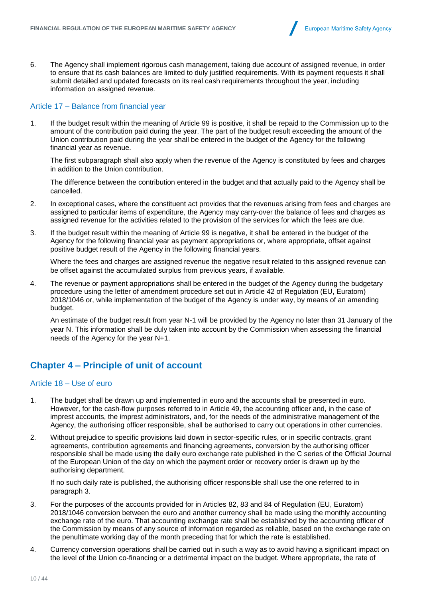

6. The Agency shall implement rigorous cash management, taking due account of assigned revenue, in order to ensure that its cash balances are limited to duly justified requirements. With its payment requests it shall submit detailed and updated forecasts on its real cash requirements throughout the year, including information on assigned revenue.

#### Article 17 – Balance from financial year

1. If the budget result within the meaning of Article 99 is positive, it shall be repaid to the Commission up to the amount of the contribution paid during the year. The part of the budget result exceeding the amount of the Union contribution paid during the year shall be entered in the budget of the Agency for the following financial year as revenue.

The first subparagraph shall also apply when the revenue of the Agency is constituted by fees and charges in addition to the Union contribution.

The difference between the contribution entered in the budget and that actually paid to the Agency shall be cancelled.

- 2. In exceptional cases, where the constituent act provides that the revenues arising from fees and charges are assigned to particular items of expenditure, the Agency may carry-over the balance of fees and charges as assigned revenue for the activities related to the provision of the services for which the fees are due.
- 3. If the budget result within the meaning of Article 99 is negative, it shall be entered in the budget of the Agency for the following financial year as payment appropriations or, where appropriate, offset against positive budget result of the Agency in the following financial years.

Where the fees and charges are assigned revenue the negative result related to this assigned revenue can be offset against the accumulated surplus from previous years, if available.

4. The revenue or payment appropriations shall be entered in the budget of the Agency during the budgetary procedure using the letter of amendment procedure set out in Article 42 of Regulation (EU, Euratom) 2018/1046 or, while implementation of the budget of the Agency is under way, by means of an amending budget.

An estimate of the budget result from year N-1 will be provided by the Agency no later than 31 January of the year N. This information shall be duly taken into account by the Commission when assessing the financial needs of the Agency for the year N+1.

# <span id="page-11-0"></span>**Chapter 4 – Principle of unit of account**

#### Article 18 – Use of euro

- 1. The budget shall be drawn up and implemented in euro and the accounts shall be presented in euro. However, for the cash-flow purposes referred to in Article 49, the accounting officer and, in the case of imprest accounts, the imprest administrators, and, for the needs of the administrative management of the Agency, the authorising officer responsible, shall be authorised to carry out operations in other currencies.
- 2. Without prejudice to specific provisions laid down in sector-specific rules, or in specific contracts, grant agreements, contribution agreements and financing agreements, conversion by the authorising officer responsible shall be made using the daily euro exchange rate published in the C series of the Official Journal of the European Union of the day on which the payment order or recovery order is drawn up by the authorising department.

If no such daily rate is published, the authorising officer responsible shall use the one referred to in paragraph 3.

- 3. For the purposes of the accounts provided for in Articles 82, 83 and 84 of Regulation (EU, Euratom) 2018/1046 conversion between the euro and another currency shall be made using the monthly accounting exchange rate of the euro. That accounting exchange rate shall be established by the accounting officer of the Commission by means of any source of information regarded as reliable, based on the exchange rate on the penultimate working day of the month preceding that for which the rate is established.
- 4. Currency conversion operations shall be carried out in such a way as to avoid having a significant impact on the level of the Union co-financing or a detrimental impact on the budget. Where appropriate, the rate of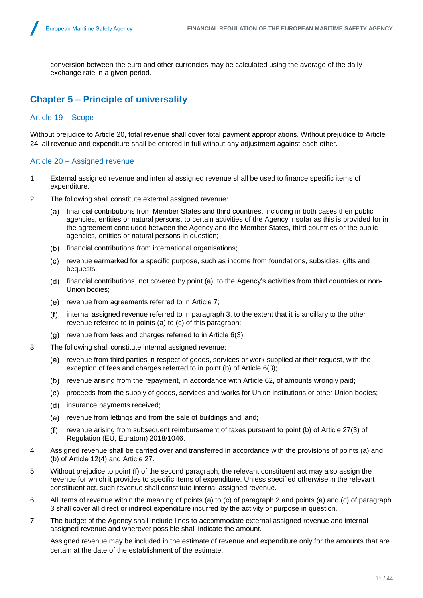conversion between the euro and other currencies may be calculated using the average of the daily exchange rate in a given period.

# <span id="page-12-0"></span>**Chapter 5 – Principle of universality**

# Article 19 – Scope

Without prejudice to Article 20, total revenue shall cover total payment appropriations. Without prejudice to Article 24, all revenue and expenditure shall be entered in full without any adjustment against each other.

## Article 20 – Assigned revenue

- 1. External assigned revenue and internal assigned revenue shall be used to finance specific items of expenditure.
- 2. The following shall constitute external assigned revenue:
	- financial contributions from Member States and third countries, including in both cases their public agencies, entities or natural persons, to certain activities of the Agency insofar as this is provided for in the agreement concluded between the Agency and the Member States, third countries or the public agencies, entities or natural persons in question;
	- (b) financial contributions from international organisations;
	- revenue earmarked for a specific purpose, such as income from foundations, subsidies, gifts and bequests;
	- financial contributions, not covered by point (a), to the Agency's activities from third countries or non-Union bodies;
	- (e) revenue from agreements referred to in Article 7;
	- internal assigned revenue referred to in paragraph 3, to the extent that it is ancillary to the other revenue referred to in points (a) to (c) of this paragraph;
	- $(q)$  revenue from fees and charges referred to in Article 6(3).
- 3. The following shall constitute internal assigned revenue:
	- (a) revenue from third parties in respect of goods, services or work supplied at their request, with the exception of fees and charges referred to in point (b) of Article 6(3);
	- revenue arising from the repayment, in accordance with Article 62, of amounts wrongly paid;
	- proceeds from the supply of goods, services and works for Union institutions or other Union bodies;
	- (d) insurance payments received;
	- (e) revenue from lettings and from the sale of buildings and land;
	- revenue arising from subsequent reimbursement of taxes pursuant to point (b) of Article 27(3) of  $(f)$ Regulation (EU, Euratom) 2018/1046.
- 4. Assigned revenue shall be carried over and transferred in accordance with the provisions of points (a) and (b) of Article 12(4) and Article 27.
- 5. Without prejudice to point (f) of the second paragraph, the relevant constituent act may also assign the revenue for which it provides to specific items of expenditure. Unless specified otherwise in the relevant constituent act, such revenue shall constitute internal assigned revenue.
- 6. All items of revenue within the meaning of points (a) to (c) of paragraph 2 and points (a) and (c) of paragraph 3 shall cover all direct or indirect expenditure incurred by the activity or purpose in question.
- 7. The budget of the Agency shall include lines to accommodate external assigned revenue and internal assigned revenue and wherever possible shall indicate the amount.

Assigned revenue may be included in the estimate of revenue and expenditure only for the amounts that are certain at the date of the establishment of the estimate.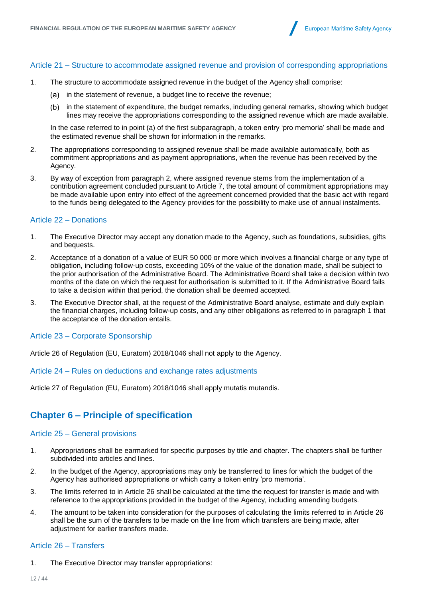## Article 21 – Structure to accommodate assigned revenue and provision of corresponding appropriations

- 1. The structure to accommodate assigned revenue in the budget of the Agency shall comprise:
	- $(a)$  in the statement of revenue, a budget line to receive the revenue;
	- (b) in the statement of expenditure, the budget remarks, including general remarks, showing which budget lines may receive the appropriations corresponding to the assigned revenue which are made available.

In the case referred to in point (a) of the first subparagraph, a token entry 'pro memoria' shall be made and the estimated revenue shall be shown for information in the remarks.

- 2. The appropriations corresponding to assigned revenue shall be made available automatically, both as commitment appropriations and as payment appropriations, when the revenue has been received by the Agency.
- 3. By way of exception from paragraph 2, where assigned revenue stems from the implementation of a contribution agreement concluded pursuant to Article 7, the total amount of commitment appropriations may be made available upon entry into effect of the agreement concerned provided that the basic act with regard to the funds being delegated to the Agency provides for the possibility to make use of annual instalments.

## Article 22 – Donations

- 1. The Executive Director may accept any donation made to the Agency, such as foundations, subsidies, gifts and bequests.
- 2. Acceptance of a donation of a value of EUR 50 000 or more which involves a financial charge or any type of obligation, including follow-up costs, exceeding 10% of the value of the donation made, shall be subject to the prior authorisation of the Administrative Board. The Administrative Board shall take a decision within two months of the date on which the request for authorisation is submitted to it. If the Administrative Board fails to take a decision within that period, the donation shall be deemed accepted.
- 3. The Executive Director shall, at the request of the Administrative Board analyse, estimate and duly explain the financial charges, including follow-up costs, and any other obligations as referred to in paragraph 1 that the acceptance of the donation entails.

## Article 23 – Corporate Sponsorship

Article 26 of Regulation (EU, Euratom) 2018/1046 shall not apply to the Agency.

#### Article 24 – Rules on deductions and exchange rates adjustments

<span id="page-13-0"></span>Article 27 of Regulation (EU, Euratom) 2018/1046 shall apply mutatis mutandis.

# **Chapter 6 – Principle of specification**

#### Article 25 – General provisions

- 1. Appropriations shall be earmarked for specific purposes by title and chapter. The chapters shall be further subdivided into articles and lines.
- 2. In the budget of the Agency, appropriations may only be transferred to lines for which the budget of the Agency has authorised appropriations or which carry a token entry 'pro memoria'.
- 3. The limits referred to in Article 26 shall be calculated at the time the request for transfer is made and with reference to the appropriations provided in the budget of the Agency, including amending budgets.
- 4. The amount to be taken into consideration for the purposes of calculating the limits referred to in Article 26 shall be the sum of the transfers to be made on the line from which transfers are being made, after adiustment for earlier transfers made.

#### Article 26 – Transfers

1. The Executive Director may transfer appropriations: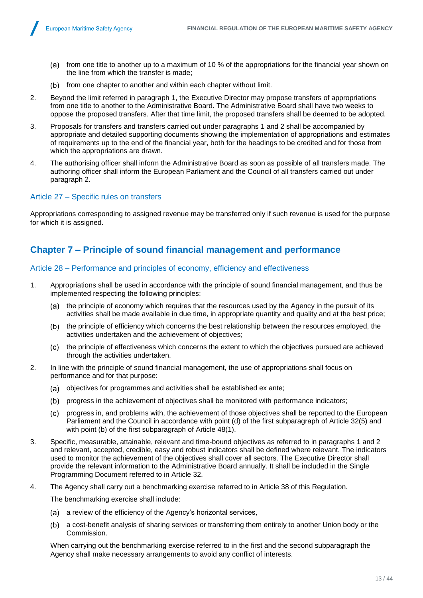- (a) from one title to another up to a maximum of 10 % of the appropriations for the financial year shown on the line from which the transfer is made;
- (b) from one chapter to another and within each chapter without limit.
- 2. Beyond the limit referred in paragraph 1, the Executive Director may propose transfers of appropriations from one title to another to the Administrative Board. The Administrative Board shall have two weeks to oppose the proposed transfers. After that time limit, the proposed transfers shall be deemed to be adopted.
- 3. Proposals for transfers and transfers carried out under paragraphs 1 and 2 shall be accompanied by appropriate and detailed supporting documents showing the implementation of appropriations and estimates of requirements up to the end of the financial year, both for the headings to be credited and for those from which the appropriations are drawn.
- 4. The authorising officer shall inform the Administrative Board as soon as possible of all transfers made. The authoring officer shall inform the European Parliament and the Council of all transfers carried out under paragraph 2.

## Article 27 – Specific rules on transfers

Appropriations corresponding to assigned revenue may be transferred only if such revenue is used for the purpose for which it is assigned.

# <span id="page-14-0"></span>**Chapter 7 – Principle of sound financial management and performance**

## Article 28 – Performance and principles of economy, efficiency and effectiveness

- 1. Appropriations shall be used in accordance with the principle of sound financial management, and thus be implemented respecting the following principles:
	- (a) the principle of economy which requires that the resources used by the Agency in the pursuit of its activities shall be made available in due time, in appropriate quantity and quality and at the best price;
	- (b) the principle of efficiency which concerns the best relationship between the resources employed, the activities undertaken and the achievement of objectives;
	- (c) the principle of effectiveness which concerns the extent to which the objectives pursued are achieved through the activities undertaken.
- 2. In line with the principle of sound financial management, the use of appropriations shall focus on performance and for that purpose:
	- (a) objectives for programmes and activities shall be established ex ante;
	- (b) progress in the achievement of objectives shall be monitored with performance indicators;
	- progress in, and problems with, the achievement of those objectives shall be reported to the European Parliament and the Council in accordance with point (d) of the first subparagraph of Article 32(5) and with point (b) of the first subparagraph of Article 48(1).
- 3. Specific, measurable, attainable, relevant and time-bound objectives as referred to in paragraphs 1 and 2 and relevant, accepted, credible, easy and robust indicators shall be defined where relevant. The indicators used to monitor the achievement of the objectives shall cover all sectors. The Executive Director shall provide the relevant information to the Administrative Board annually. It shall be included in the Single Programming Document referred to in Article 32.
- 4. The Agency shall carry out a benchmarking exercise referred to in Article 38 of this Regulation.

The benchmarking exercise shall include:

- (a) a review of the efficiency of the Agency's horizontal services,
- a cost-benefit analysis of sharing services or transferring them entirely to another Union body or the Commission.

When carrying out the benchmarking exercise referred to in the first and the second subparagraph the Agency shall make necessary arrangements to avoid any conflict of interests.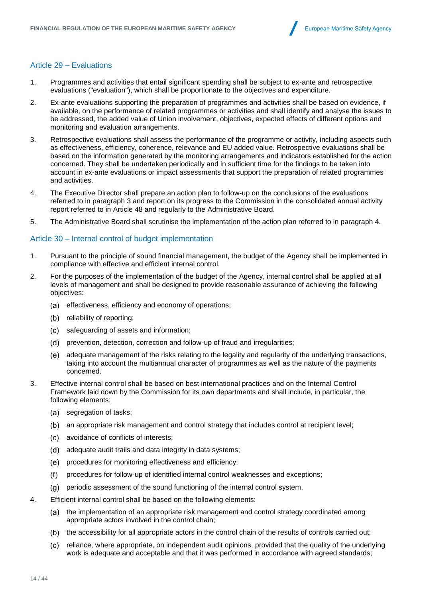## Article 29 – Evaluations

- 1. Programmes and activities that entail significant spending shall be subject to ex-ante and retrospective evaluations ("evaluation"), which shall be proportionate to the objectives and expenditure.
- 2. Ex-ante evaluations supporting the preparation of programmes and activities shall be based on evidence, if available, on the performance of related programmes or activities and shall identify and analyse the issues to be addressed, the added value of Union involvement, objectives, expected effects of different options and monitoring and evaluation arrangements.
- 3. Retrospective evaluations shall assess the performance of the programme or activity, including aspects such as effectiveness, efficiency, coherence, relevance and EU added value. Retrospective evaluations shall be based on the information generated by the monitoring arrangements and indicators established for the action concerned. They shall be undertaken periodically and in sufficient time for the findings to be taken into account in ex-ante evaluations or impact assessments that support the preparation of related programmes and activities.
- 4. The Executive Director shall prepare an action plan to follow-up on the conclusions of the evaluations referred to in paragraph 3 and report on its progress to the Commission in the consolidated annual activity report referred to in Article 48 and regularly to the Administrative Board.
- 5. The Administrative Board shall scrutinise the implementation of the action plan referred to in paragraph 4.

## Article 30 – Internal control of budget implementation

- 1. Pursuant to the principle of sound financial management, the budget of the Agency shall be implemented in compliance with effective and efficient internal control.
- 2. For the purposes of the implementation of the budget of the Agency, internal control shall be applied at all levels of management and shall be designed to provide reasonable assurance of achieving the following objectives:
	- (a) effectiveness, efficiency and economy of operations;
	- (b) reliability of reporting:
	- safeguarding of assets and information;
	- (d) prevention, detection, correction and follow-up of fraud and irregularities;
	- adequate management of the risks relating to the legality and regularity of the underlying transactions, taking into account the multiannual character of programmes as well as the nature of the payments concerned.
- 3. Effective internal control shall be based on best international practices and on the Internal Control Framework laid down by the Commission for its own departments and shall include, in particular, the following elements:
	- (a) segregation of tasks;
	- (b) an appropriate risk management and control strategy that includes control at recipient level;
	- avoidance of conflicts of interests;
	- (d) adequate audit trails and data integrity in data systems;
	- (e) procedures for monitoring effectiveness and efficiency;
	- procedures for follow-up of identified internal control weaknesses and exceptions;
	- periodic assessment of the sound functioning of the internal control system.
- 4. Efficient internal control shall be based on the following elements:
	- (a) the implementation of an appropriate risk management and control strategy coordinated among appropriate actors involved in the control chain;
	- (b) the accessibility for all appropriate actors in the control chain of the results of controls carried out;
	- reliance, where appropriate, on independent audit opinions, provided that the quality of the underlying work is adequate and acceptable and that it was performed in accordance with agreed standards;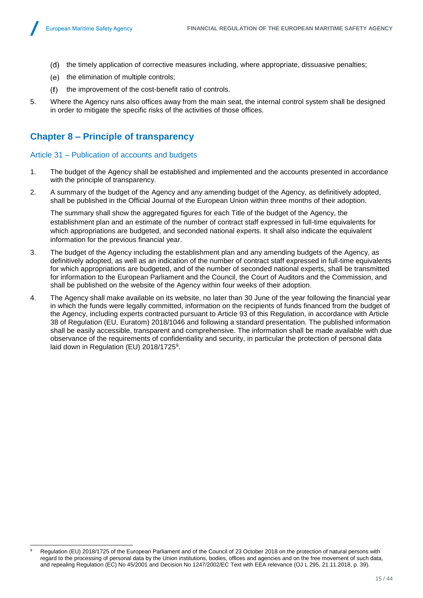l

- (d) the timely application of corrective measures including, where appropriate, dissuasive penalties;
- $(e)$  the elimination of multiple controls:
- $(f)$ the improvement of the cost-benefit ratio of controls.
- 5. Where the Agency runs also offices away from the main seat, the internal control system shall be designed in order to mitigate the specific risks of the activities of those offices.

# <span id="page-16-0"></span>**Chapter 8 – Principle of transparency**

## Article 31 – Publication of accounts and budgets

- 1. The budget of the Agency shall be established and implemented and the accounts presented in accordance with the principle of transparency.
- 2. A summary of the budget of the Agency and any amending budget of the Agency, as definitively adopted, shall be published in the Official Journal of the European Union within three months of their adoption.

The summary shall show the aggregated figures for each Title of the budget of the Agency, the establishment plan and an estimate of the number of contract staff expressed in full-time equivalents for which appropriations are budgeted, and seconded national experts. It shall also indicate the equivalent information for the previous financial year.

- 3. The budget of the Agency including the establishment plan and any amending budgets of the Agency, as definitively adopted, as well as an indication of the number of contract staff expressed in full-time equivalents for which appropriations are budgeted, and of the number of seconded national experts, shall be transmitted for information to the European Parliament and the Council, the Court of Auditors and the Commission, and shall be published on the website of the Agency within four weeks of their adoption.
- 4. The Agency shall make available on its website, no later than 30 June of the year following the financial year in which the funds were legally committed, information on the recipients of funds financed from the budget of the Agency, including experts contracted pursuant to Article 93 of this Regulation, in accordance with Article 38 of Regulation (EU, Euratom) 2018/1046 and following a standard presentation. The published information shall be easily accessible, transparent and comprehensive. The information shall be made available with due observance of the requirements of confidentiality and security, in particular the protection of personal data laid down in Regulation (EU) 2018/1725<sup>9</sup>.

<sup>9</sup> Regulation (EU) 2018/1725 of the European Parliament and of the Council of 23 October 2018 on the protection of natural persons with regard to the processing of personal data by the Union institutions, bodies, offices and agencies and on the free movement of such data, and repealing Regulation (EC) No 45/2001 and Decision No 1247/2002/EC Text with EEA relevance (OJ L 295, 21.11.2018, p. 39).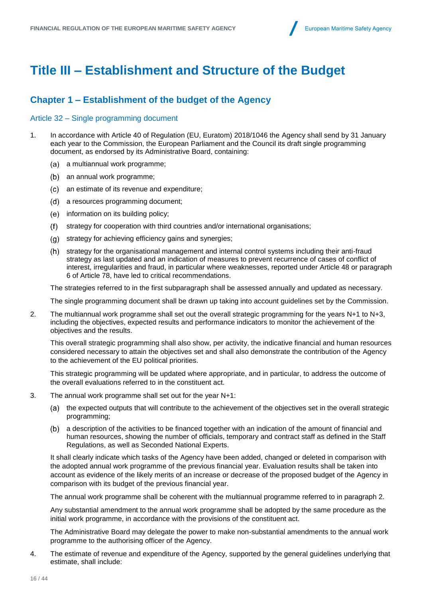# <span id="page-17-1"></span><span id="page-17-0"></span>**Title III – Establishment and Structure of the Budget**

# **Chapter 1 – Establishment of the budget of the Agency**

#### Article 32 – Single programming document

- 1. In accordance with Article 40 of Regulation (EU, Euratom) 2018/1046 the Agency shall send by 31 January each year to the Commission, the European Parliament and the Council its draft single programming document, as endorsed by its Administrative Board, containing:
	- (a) a multiannual work programme;
	- (b) an annual work programme;
	- an estimate of its revenue and expenditure;
	- a resources programming document;
	- (e) information on its building policy;
	- strategy for cooperation with third countries and/or international organisations;
	- (g) strategy for achieving efficiency gains and synergies;
	- (h) strategy for the organisational management and internal control systems including their anti-fraud strategy as last updated and an indication of measures to prevent recurrence of cases of conflict of interest, irregularities and fraud, in particular where weaknesses, reported under Article 48 or paragraph 6 of Article 78, have led to critical recommendations.

The strategies referred to in the first subparagraph shall be assessed annually and updated as necessary.

The single programming document shall be drawn up taking into account guidelines set by the Commission.

2. The multiannual work programme shall set out the overall strategic programming for the years N+1 to N+3, including the objectives, expected results and performance indicators to monitor the achievement of the objectives and the results.

This overall strategic programming shall also show, per activity, the indicative financial and human resources considered necessary to attain the objectives set and shall also demonstrate the contribution of the Agency to the achievement of the EU political priorities.

This strategic programming will be updated where appropriate, and in particular, to address the outcome of the overall evaluations referred to in the constituent act.

- 3. The annual work programme shall set out for the year N+1:
	- (a) the expected outputs that will contribute to the achievement of the objectives set in the overall strategic programming;
	- a description of the activities to be financed together with an indication of the amount of financial and human resources, showing the number of officials, temporary and contract staff as defined in the Staff Regulations, as well as Seconded National Experts.

It shall clearly indicate which tasks of the Agency have been added, changed or deleted in comparison with the adopted annual work programme of the previous financial year. Evaluation results shall be taken into account as evidence of the likely merits of an increase or decrease of the proposed budget of the Agency in comparison with its budget of the previous financial year.

The annual work programme shall be coherent with the multiannual programme referred to in paragraph 2.

Any substantial amendment to the annual work programme shall be adopted by the same procedure as the initial work programme, in accordance with the provisions of the constituent act.

The Administrative Board may delegate the power to make non-substantial amendments to the annual work programme to the authorising officer of the Agency.

4. The estimate of revenue and expenditure of the Agency, supported by the general guidelines underlying that estimate, shall include: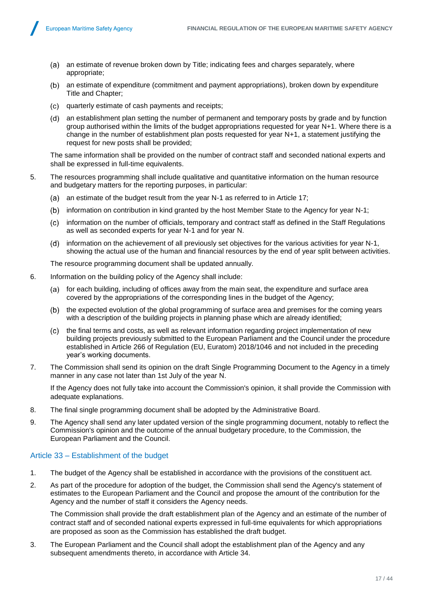- (a) an estimate of revenue broken down by Title; indicating fees and charges separately, where appropriate;
- $(b)$ an estimate of expenditure (commitment and payment appropriations), broken down by expenditure Title and Chapter;
- (c) quarterly estimate of cash payments and receipts:
- (d) an establishment plan setting the number of permanent and temporary posts by grade and by function group authorised within the limits of the budget appropriations requested for year N+1. Where there is a change in the number of establishment plan posts requested for year N+1, a statement justifying the request for new posts shall be provided;

The same information shall be provided on the number of contract staff and seconded national experts and shall be expressed in full-time equivalents.

- 5. The resources programming shall include qualitative and quantitative information on the human resource and budgetary matters for the reporting purposes, in particular:
	- an estimate of the budget result from the year N-1 as referred to in Article 17;
	- (b) information on contribution in kind granted by the host Member State to the Agency for year N-1;
	- information on the number of officials, temporary and contract staff as defined in the Staff Regulations as well as seconded experts for year N-1 and for year N.
	- (d) information on the achievement of all previously set objectives for the various activities for year N-1, showing the actual use of the human and financial resources by the end of year split between activities.

The resource programming document shall be updated annually.

- 6. Information on the building policy of the Agency shall include:
	- for each building, including of offices away from the main seat, the expenditure and surface area covered by the appropriations of the corresponding lines in the budget of the Agency;
	- (b) the expected evolution of the global programming of surface area and premises for the coming years with a description of the building projects in planning phase which are already identified;
	- (c) the final terms and costs, as well as relevant information regarding project implementation of new building projects previously submitted to the European Parliament and the Council under the procedure established in Article 266 of Regulation (EU, Euratom) 2018/1046 and not included in the preceding year's working documents.
- 7. The Commission shall send its opinion on the draft Single Programming Document to the Agency in a timely manner in any case not later than 1st July of the year N.

If the Agency does not fully take into account the Commission's opinion, it shall provide the Commission with adequate explanations.

- 8. The final single programming document shall be adopted by the Administrative Board.
- 9. The Agency shall send any later updated version of the single programming document, notably to reflect the Commission's opinion and the outcome of the annual budgetary procedure, to the Commission, the European Parliament and the Council.

# Article 33 – Establishment of the budget

- 1. The budget of the Agency shall be established in accordance with the provisions of the constituent act.
- 2. As part of the procedure for adoption of the budget, the Commission shall send the Agency's statement of estimates to the European Parliament and the Council and propose the amount of the contribution for the Agency and the number of staff it considers the Agency needs.

The Commission shall provide the draft establishment plan of the Agency and an estimate of the number of contract staff and of seconded national experts expressed in full-time equivalents for which appropriations are proposed as soon as the Commission has established the draft budget.

3. The European Parliament and the Council shall adopt the establishment plan of the Agency and any subsequent amendments thereto, in accordance with Article 34.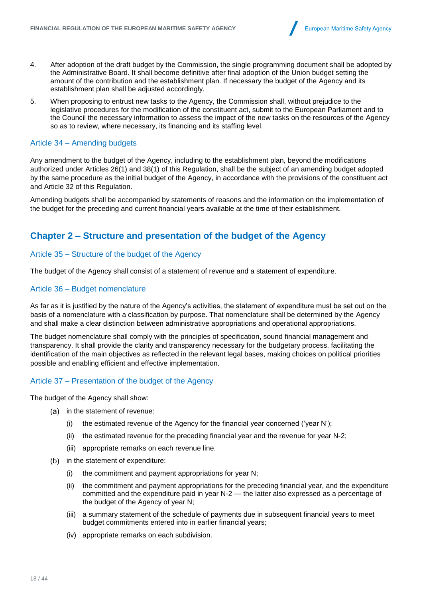

- 4. After adoption of the draft budget by the Commission, the single programming document shall be adopted by the Administrative Board. It shall become definitive after final adoption of the Union budget setting the amount of the contribution and the establishment plan. If necessary the budget of the Agency and its establishment plan shall be adjusted accordingly.
- 5. When proposing to entrust new tasks to the Agency, the Commission shall, without prejudice to the legislative procedures for the modification of the constituent act, submit to the European Parliament and to the Council the necessary information to assess the impact of the new tasks on the resources of the Agency so as to review, where necessary, its financing and its staffing level.

## Article 34 – Amending budgets

Any amendment to the budget of the Agency, including to the establishment plan, beyond the modifications authorized under Articles 26(1) and 38(1) of this Regulation, shall be the subject of an amending budget adopted by the same procedure as the initial budget of the Agency, in accordance with the provisions of the constituent act and Article 32 of this Regulation.

Amending budgets shall be accompanied by statements of reasons and the information on the implementation of the budget for the preceding and current financial years available at the time of their establishment.

# <span id="page-19-0"></span>**Chapter 2 – Structure and presentation of the budget of the Agency**

## Article 35 – Structure of the budget of the Agency

The budget of the Agency shall consist of a statement of revenue and a statement of expenditure.

## Article 36 – Budget nomenclature

As far as it is justified by the nature of the Agency's activities, the statement of expenditure must be set out on the basis of a nomenclature with a classification by purpose. That nomenclature shall be determined by the Agency and shall make a clear distinction between administrative appropriations and operational appropriations.

The budget nomenclature shall comply with the principles of specification, sound financial management and transparency. It shall provide the clarity and transparency necessary for the budgetary process, facilitating the identification of the main objectives as reflected in the relevant legal bases, making choices on political priorities possible and enabling efficient and effective implementation.

## Article 37 – Presentation of the budget of the Agency

The budget of the Agency shall show:

- $(a)$  in the statement of revenue:
	- (i) the estimated revenue of the Agency for the financial year concerned ('year N');
	- (ii) the estimated revenue for the preceding financial year and the revenue for year N-2;
	- (iii) appropriate remarks on each revenue line.
- (b) in the statement of expenditure:
	- (i) the commitment and payment appropriations for year N;
	- (ii) the commitment and payment appropriations for the preceding financial year, and the expenditure committed and the expenditure paid in year N-2 — the latter also expressed as a percentage of the budget of the Agency of year N;
	- (iii) a summary statement of the schedule of payments due in subsequent financial years to meet budget commitments entered into in earlier financial years;
	- (iv) appropriate remarks on each subdivision.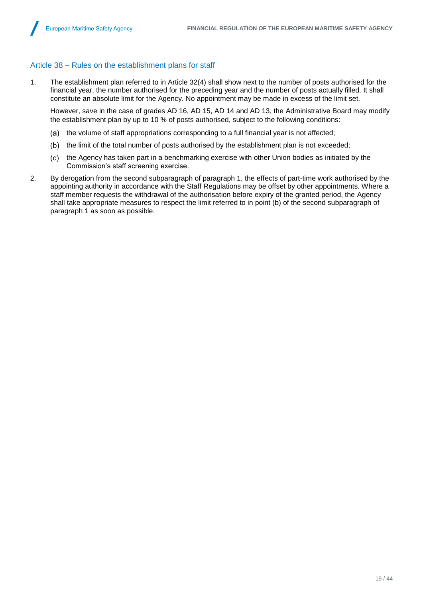## Article 38 – Rules on the establishment plans for staff

1. The establishment plan referred to in Article 32(4) shall show next to the number of posts authorised for the financial year, the number authorised for the preceding year and the number of posts actually filled. It shall constitute an absolute limit for the Agency. No appointment may be made in excess of the limit set.

However, save in the case of grades AD 16, AD 15, AD 14 and AD 13, the Administrative Board may modify the establishment plan by up to 10 % of posts authorised, subject to the following conditions:

- (a) the volume of staff appropriations corresponding to a full financial year is not affected;
- (b) the limit of the total number of posts authorised by the establishment plan is not exceeded;
- (c) the Agency has taken part in a benchmarking exercise with other Union bodies as initiated by the Commission's staff screening exercise.
- 2. By derogation from the second subparagraph of paragraph 1, the effects of part-time work authorised by the appointing authority in accordance with the Staff Regulations may be offset by other appointments. Where a staff member requests the withdrawal of the authorisation before expiry of the granted period, the Agency shall take appropriate measures to respect the limit referred to in point (b) of the second subparagraph of paragraph 1 as soon as possible.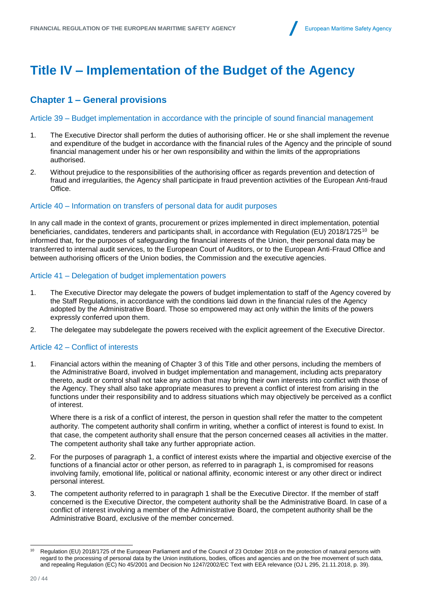# <span id="page-21-1"></span><span id="page-21-0"></span>**Title IV – Implementation of the Budget of the Agency**

# **Chapter 1 – General provisions**

#### Article 39 – Budget implementation in accordance with the principle of sound financial management

- 1. The Executive Director shall perform the duties of authorising officer. He or she shall implement the revenue and expenditure of the budget in accordance with the financial rules of the Agency and the principle of sound financial management under his or her own responsibility and within the limits of the appropriations authorised.
- 2. Without prejudice to the responsibilities of the authorising officer as regards prevention and detection of fraud and irregularities, the Agency shall participate in fraud prevention activities of the European Anti-fraud Office.

## Article 40 – Information on transfers of personal data for audit purposes

In any call made in the context of grants, procurement or prizes implemented in direct implementation, potential beneficiaries, candidates, tenderers and participants shall, in accordance with Regulation (EU) 2018/1725<sup>10</sup> be informed that, for the purposes of safeguarding the financial interests of the Union, their personal data may be transferred to internal audit services, to the European Court of Auditors, or to the European Anti-Fraud Office and between authorising officers of the Union bodies, the Commission and the executive agencies.

## Article 41 – Delegation of budget implementation powers

- 1. The Executive Director may delegate the powers of budget implementation to staff of the Agency covered by the Staff Regulations, in accordance with the conditions laid down in the financial rules of the Agency adopted by the Administrative Board. Those so empowered may act only within the limits of the powers expressly conferred upon them.
- 2. The delegatee may subdelegate the powers received with the explicit agreement of the Executive Director.

## Article 42 – Conflict of interests

1. Financial actors within the meaning of Chapter 3 of this Title and other persons, including the members of the Administrative Board, involved in budget implementation and management, including acts preparatory thereto, audit or control shall not take any action that may bring their own interests into conflict with those of the Agency. They shall also take appropriate measures to prevent a conflict of interest from arising in the functions under their responsibility and to address situations which may objectively be perceived as a conflict of interest.

Where there is a risk of a conflict of interest, the person in question shall refer the matter to the competent authority. The competent authority shall confirm in writing, whether a conflict of interest is found to exist. In that case, the competent authority shall ensure that the person concerned ceases all activities in the matter. The competent authority shall take any further appropriate action.

- 2. For the purposes of paragraph 1, a conflict of interest exists where the impartial and objective exercise of the functions of a financial actor or other person, as referred to in paragraph 1, is compromised for reasons involving family, emotional life, political or national affinity, economic interest or any other direct or indirect personal interest.
- 3. The competent authority referred to in paragraph 1 shall be the Executive Director. If the member of staff concerned is the Executive Director, the competent authority shall be the Administrative Board. In case of a conflict of interest involving a member of the Administrative Board, the competent authority shall be the Administrative Board, exclusive of the member concerned.

l

<sup>&</sup>lt;sup>10</sup> Regulation (EU) 2018/1725 of the European Parliament and of the Council of 23 October 2018 on the protection of natural persons with regard to the processing of personal data by the Union institutions, bodies, offices and agencies and on the free movement of such data, and repealing Regulation (EC) No 45/2001 and Decision No 1247/2002/EC Text with EEA relevance (OJ L 295, 21.11.2018, p. 39).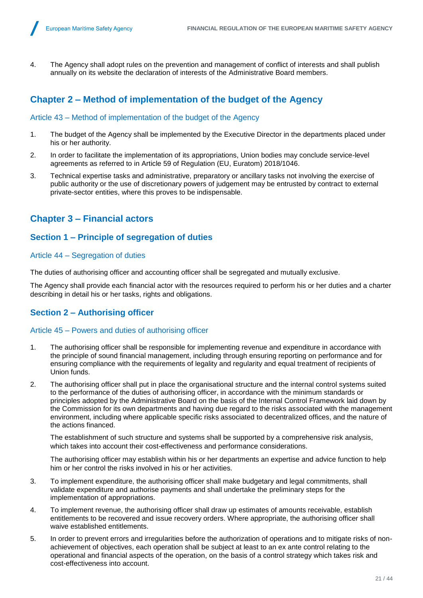4. The Agency shall adopt rules on the prevention and management of conflict of interests and shall publish annually on its website the declaration of interests of the Administrative Board members.

# <span id="page-22-0"></span>**Chapter 2 – Method of implementation of the budget of the Agency**

## Article 43 – Method of implementation of the budget of the Agency

- 1. The budget of the Agency shall be implemented by the Executive Director in the departments placed under his or her authority.
- 2. In order to facilitate the implementation of its appropriations, Union bodies may conclude service-level agreements as referred to in Article 59 of Regulation (EU, Euratom) 2018/1046.
- 3. Technical expertise tasks and administrative, preparatory or ancillary tasks not involving the exercise of public authority or the use of discretionary powers of judgement may be entrusted by contract to external private-sector entities, where this proves to be indispensable.

# <span id="page-22-1"></span>**Chapter 3 – Financial actors**

# <span id="page-22-2"></span>**Section 1 – Principle of segregation of duties**

## Article 44 – Segregation of duties

The duties of authorising officer and accounting officer shall be segregated and mutually exclusive.

The Agency shall provide each financial actor with the resources required to perform his or her duties and a charter describing in detail his or her tasks, rights and obligations.

# <span id="page-22-3"></span>**Section 2 – Authorising officer**

## Article 45 – Powers and duties of authorising officer

- 1. The authorising officer shall be responsible for implementing revenue and expenditure in accordance with the principle of sound financial management, including through ensuring reporting on performance and for ensuring compliance with the requirements of legality and regularity and equal treatment of recipients of Union funds.
- 2. The authorising officer shall put in place the organisational structure and the internal control systems suited to the performance of the duties of authorising officer, in accordance with the minimum standards or principles adopted by the Administrative Board on the basis of the Internal Control Framework laid down by the Commission for its own departments and having due regard to the risks associated with the management environment, including where applicable specific risks associated to decentralized offices, and the nature of the actions financed.

The establishment of such structure and systems shall be supported by a comprehensive risk analysis, which takes into account their cost-effectiveness and performance considerations.

The authorising officer may establish within his or her departments an expertise and advice function to help him or her control the risks involved in his or her activities.

- 3. To implement expenditure, the authorising officer shall make budgetary and legal commitments, shall validate expenditure and authorise payments and shall undertake the preliminary steps for the implementation of appropriations.
- 4. To implement revenue, the authorising officer shall draw up estimates of amounts receivable, establish entitlements to be recovered and issue recovery orders. Where appropriate, the authorising officer shall waive established entitlements.
- 5. In order to prevent errors and irregularities before the authorization of operations and to mitigate risks of nonachievement of objectives, each operation shall be subject at least to an ex ante control relating to the operational and financial aspects of the operation, on the basis of a control strategy which takes risk and cost-effectiveness into account.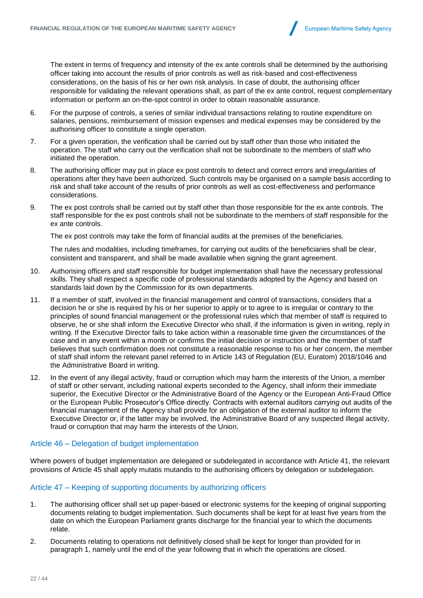

The extent in terms of frequency and intensity of the ex ante controls shall be determined by the authorising officer taking into account the results of prior controls as well as risk-based and cost-effectiveness considerations, on the basis of his or her own risk analysis. In case of doubt, the authorising officer responsible for validating the relevant operations shall, as part of the ex ante control, request complementary information or perform an on-the-spot control in order to obtain reasonable assurance.

- 6. For the purpose of controls, a series of similar individual transactions relating to routine expenditure on salaries, pensions, reimbursement of mission expenses and medical expenses may be considered by the authorising officer to constitute a single operation.
- 7. For a given operation, the verification shall be carried out by staff other than those who initiated the operation. The staff who carry out the verification shall not be subordinate to the members of staff who initiated the operation.
- 8. The authorising officer may put in place ex post controls to detect and correct errors and irregularities of operations after they have been authorized. Such controls may be organised on a sample basis according to risk and shall take account of the results of prior controls as well as cost-effectiveness and performance considerations.
- 9. The ex post controls shall be carried out by staff other than those responsible for the ex ante controls. The staff responsible for the ex post controls shall not be subordinate to the members of staff responsible for the ex ante controls.

The ex post controls may take the form of financial audits at the premises of the beneficiaries.

The rules and modalities, including timeframes, for carrying out audits of the beneficiaries shall be clear, consistent and transparent, and shall be made available when signing the grant agreement.

- 10. Authorising officers and staff responsible for budget implementation shall have the necessary professional skills. They shall respect a specific code of professional standards adopted by the Agency and based on standards laid down by the Commission for its own departments.
- 11. If a member of staff, involved in the financial management and control of transactions, considers that a decision he or she is required by his or her superior to apply or to agree to is irregular or contrary to the principles of sound financial management or the professional rules which that member of staff is required to observe, he or she shall inform the Executive Director who shall, if the information is given in writing, reply in writing. If the Executive Director fails to take action within a reasonable time given the circumstances of the case and in any event within a month or confirms the initial decision or instruction and the member of staff believes that such confirmation does not constitute a reasonable response to his or her concern, the member of staff shall inform the relevant panel referred to in Article 143 of Regulation (EU, Euratom) 2018/1046 and the Administrative Board in writing.
- 12. In the event of any illegal activity, fraud or corruption which may harm the interests of the Union, a member of staff or other servant, including national experts seconded to the Agency, shall inform their immediate superior, the Executive Director or the Administrative Board of the Agency or the European Anti-Fraud Office or the European Public Prosecutor's Office directly. Contracts with external auditors carrying out audits of the financial management of the Agency shall provide for an obligation of the external auditor to inform the Executive Director or, if the latter may be involved, the Administrative Board of any suspected illegal activity, fraud or corruption that may harm the interests of the Union.

## Article 46 – Delegation of budget implementation

Where powers of budget implementation are delegated or subdelegated in accordance with Article 41, the relevant provisions of Article 45 shall apply mutatis mutandis to the authorising officers by delegation or subdelegation.

## Article 47 – Keeping of supporting documents by authorizing officers

- 1. The authorising officer shall set up paper-based or electronic systems for the keeping of original supporting documents relating to budget implementation. Such documents shall be kept for at least five years from the date on which the European Parliament grants discharge for the financial year to which the documents relate.
- 2. Documents relating to operations not definitively closed shall be kept for longer than provided for in paragraph 1, namely until the end of the year following that in which the operations are closed.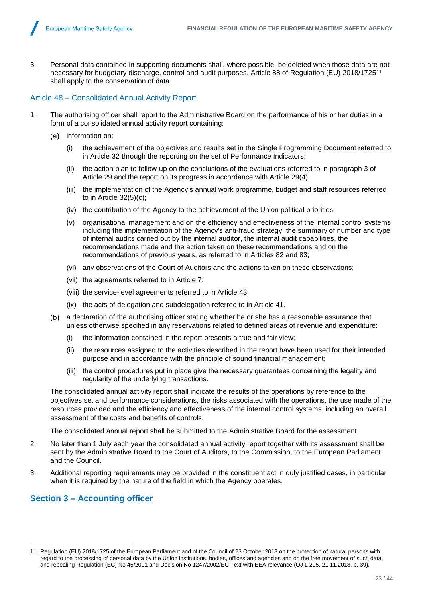3. Personal data contained in supporting documents shall, where possible, be deleted when those data are not necessary for budgetary discharge, control and audit purposes. Article 88 of Regulation (EU) 2018/1725<sup>11</sup> shall apply to the conservation of data.

# Article 48 – Consolidated Annual Activity Report

- 1. The authorising officer shall report to the Administrative Board on the performance of his or her duties in a form of a consolidated annual activity report containing:
	- (a) information on:
		- (i) the achievement of the objectives and results set in the Single Programming Document referred to in Article 32 through the reporting on the set of Performance Indicators;
		- (ii) the action plan to follow-up on the conclusions of the evaluations referred to in paragraph 3 of Article 29 and the report on its progress in accordance with Article 29(4);
		- (iii) the implementation of the Agency's annual work programme, budget and staff resources referred to in Article 32(5)(c);
		- (iv) the contribution of the Agency to the achievement of the Union political priorities;
		- (v) organisational management and on the efficiency and effectiveness of the internal control systems including the implementation of the Agency's anti-fraud strategy, the summary of number and type of internal audits carried out by the internal auditor, the internal audit capabilities, the recommendations made and the action taken on these recommendations and on the recommendations of previous years, as referred to in Articles 82 and 83;
		- (vi) any observations of the Court of Auditors and the actions taken on these observations;
		- (vii) the agreements referred to in Article 7;
		- (viii) the service-level agreements referred to in Article 43;
		- (ix) the acts of delegation and subdelegation referred to in Article 41.
	- a declaration of the authorising officer stating whether he or she has a reasonable assurance that unless otherwise specified in any reservations related to defined areas of revenue and expenditure:
		- (i) the information contained in the report presents a true and fair view;
		- (ii) the resources assigned to the activities described in the report have been used for their intended purpose and in accordance with the principle of sound financial management;
		- (iii) the control procedures put in place give the necessary guarantees concerning the legality and regularity of the underlying transactions.

The consolidated annual activity report shall indicate the results of the operations by reference to the objectives set and performance considerations, the risks associated with the operations, the use made of the resources provided and the efficiency and effectiveness of the internal control systems, including an overall assessment of the costs and benefits of controls.

The consolidated annual report shall be submitted to the Administrative Board for the assessment.

- 2. No later than 1 July each year the consolidated annual activity report together with its assessment shall be sent by the Administrative Board to the Court of Auditors, to the Commission, to the European Parliament and the Council.
- 3. Additional reporting requirements may be provided in the constituent act in duly justified cases, in particular when it is required by the nature of the field in which the Agency operates.

# <span id="page-24-0"></span>**Section 3 – Accounting officer**

l

<sup>11</sup> Regulation (EU) 2018/1725 of the European Parliament and of the Council of 23 October 2018 on the protection of natural persons with regard to the processing of personal data by the Union institutions, bodies, offices and agencies and on the free movement of such data, and repealing Regulation (EC) No 45/2001 and Decision No 1247/2002/EC Text with EEA relevance (OJ L 295, 21.11.2018, p. 39).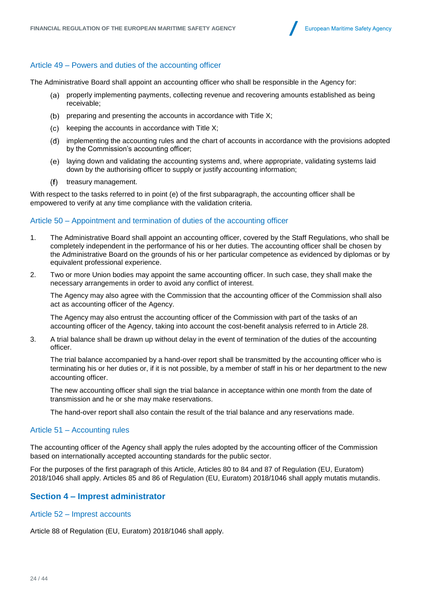# Article 49 – Powers and duties of the accounting officer

The Administrative Board shall appoint an accounting officer who shall be responsible in the Agency for:

- properly implementing payments, collecting revenue and recovering amounts established as being receivable;
- (b) preparing and presenting the accounts in accordance with Title  $X$ ;
- $k$  keeping the accounts in accordance with Title X;
- (d) implementing the accounting rules and the chart of accounts in accordance with the provisions adopted by the Commission's accounting officer;
- laying down and validating the accounting systems and, where appropriate, validating systems laid down by the authorising officer to supply or justify accounting information;
- $(f)$ treasury management.

With respect to the tasks referred to in point (e) of the first subparagraph, the accounting officer shall be empowered to verify at any time compliance with the validation criteria.

## Article 50 – Appointment and termination of duties of the accounting officer

- 1. The Administrative Board shall appoint an accounting officer, covered by the Staff Regulations, who shall be completely independent in the performance of his or her duties. The accounting officer shall be chosen by the Administrative Board on the grounds of his or her particular competence as evidenced by diplomas or by equivalent professional experience.
- 2. Two or more Union bodies may appoint the same accounting officer. In such case, they shall make the necessary arrangements in order to avoid any conflict of interest.

The Agency may also agree with the Commission that the accounting officer of the Commission shall also act as accounting officer of the Agency.

The Agency may also entrust the accounting officer of the Commission with part of the tasks of an accounting officer of the Agency, taking into account the cost-benefit analysis referred to in Article 28.

3. A trial balance shall be drawn up without delay in the event of termination of the duties of the accounting officer.

The trial balance accompanied by a hand-over report shall be transmitted by the accounting officer who is terminating his or her duties or, if it is not possible, by a member of staff in his or her department to the new accounting officer.

The new accounting officer shall sign the trial balance in acceptance within one month from the date of transmission and he or she may make reservations.

The hand-over report shall also contain the result of the trial balance and any reservations made.

## Article 51 – Accounting rules

The accounting officer of the Agency shall apply the rules adopted by the accounting officer of the Commission based on internationally accepted accounting standards for the public sector.

For the purposes of the first paragraph of this Article, Articles 80 to 84 and 87 of Regulation (EU, Euratom) 2018/1046 shall apply. Articles 85 and 86 of Regulation (EU, Euratom) 2018/1046 shall apply mutatis mutandis.

# <span id="page-25-0"></span>**Section 4 – Imprest administrator**

#### Article 52 – Imprest accounts

Article 88 of Regulation (EU, Euratom) 2018/1046 shall apply.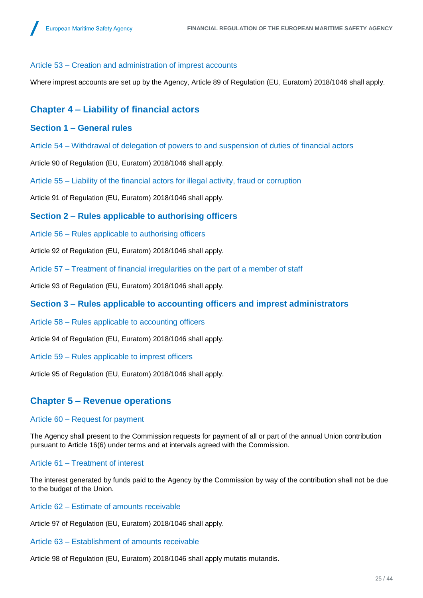# Article 53 – Creation and administration of imprest accounts

Where imprest accounts are set up by the Agency, Article 89 of Regulation (EU, Euratom) 2018/1046 shall apply.

# <span id="page-26-0"></span>**Chapter 4 – Liability of financial actors**

# <span id="page-26-1"></span>**Section 1 – General rules**

Article 54 – Withdrawal of delegation of powers to and suspension of duties of financial actors

Article 90 of Regulation (EU, Euratom) 2018/1046 shall apply.

Article 55 – Liability of the financial actors for illegal activity, fraud or corruption

Article 91 of Regulation (EU, Euratom) 2018/1046 shall apply.

# <span id="page-26-2"></span>**Section 2 – Rules applicable to authorising officers**

Article 56 – Rules applicable to authorising officers

Article 92 of Regulation (EU, Euratom) 2018/1046 shall apply.

Article 57 – Treatment of financial irregularities on the part of a member of staff

Article 93 of Regulation (EU, Euratom) 2018/1046 shall apply.

# <span id="page-26-3"></span>**Section 3 – Rules applicable to accounting officers and imprest administrators**

Article 58 – Rules applicable to accounting officers

Article 94 of Regulation (EU, Euratom) 2018/1046 shall apply.

Article 59 – Rules applicable to imprest officers

<span id="page-26-4"></span>Article 95 of Regulation (EU, Euratom) 2018/1046 shall apply.

# **Chapter 5 – Revenue operations**

## Article 60 – Request for payment

The Agency shall present to the Commission requests for payment of all or part of the annual Union contribution pursuant to Article 16(6) under terms and at intervals agreed with the Commission.

# Article 61 – Treatment of interest

The interest generated by funds paid to the Agency by the Commission by way of the contribution shall not be due to the budget of the Union.

Article 62 – Estimate of amounts receivable

Article 97 of Regulation (EU, Euratom) 2018/1046 shall apply.

## Article 63 – Establishment of amounts receivable

Article 98 of Regulation (EU, Euratom) 2018/1046 shall apply mutatis mutandis.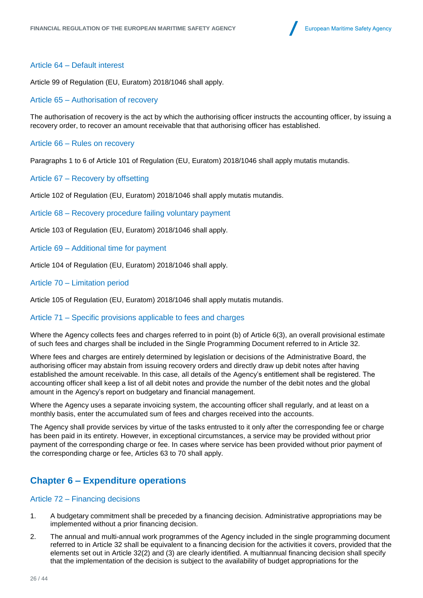## Article 64 – Default interest

Article 99 of Regulation (EU, Euratom) 2018/1046 shall apply.

#### Article 65 – Authorisation of recovery

The authorisation of recovery is the act by which the authorising officer instructs the accounting officer, by issuing a recovery order, to recover an amount receivable that that authorising officer has established.

Article 66 – Rules on recovery

Paragraphs 1 to 6 of Article 101 of Regulation (EU, Euratom) 2018/1046 shall apply mutatis mutandis.

#### Article 67 – Recovery by offsetting

Article 102 of Regulation (EU, Euratom) 2018/1046 shall apply mutatis mutandis.

Article 68 – Recovery procedure failing voluntary payment

Article 103 of Regulation (EU, Euratom) 2018/1046 shall apply.

Article 69 – Additional time for payment

Article 104 of Regulation (EU, Euratom) 2018/1046 shall apply.

Article 70 – Limitation period

Article 105 of Regulation (EU, Euratom) 2018/1046 shall apply mutatis mutandis.

## Article 71 – Specific provisions applicable to fees and charges

Where the Agency collects fees and charges referred to in point (b) of Article 6(3), an overall provisional estimate of such fees and charges shall be included in the Single Programming Document referred to in Article 32.

Where fees and charges are entirely determined by legislation or decisions of the Administrative Board, the authorising officer may abstain from issuing recovery orders and directly draw up debit notes after having established the amount receivable. In this case, all details of the Agency's entitlement shall be registered. The accounting officer shall keep a list of all debit notes and provide the number of the debit notes and the global amount in the Agency's report on budgetary and financial management.

Where the Agency uses a separate invoicing system, the accounting officer shall regularly, and at least on a monthly basis, enter the accumulated sum of fees and charges received into the accounts.

The Agency shall provide services by virtue of the tasks entrusted to it only after the corresponding fee or charge has been paid in its entirety. However, in exceptional circumstances, a service may be provided without prior payment of the corresponding charge or fee. In cases where service has been provided without prior payment of the corresponding charge or fee, Articles 63 to 70 shall apply.

# <span id="page-27-0"></span>**Chapter 6 – Expenditure operations**

#### Article 72 – Financing decisions

- 1. A budgetary commitment shall be preceded by a financing decision. Administrative appropriations may be implemented without a prior financing decision.
- 2. The annual and multi-annual work programmes of the Agency included in the single programming document referred to in Article 32 shall be equivalent to a financing decision for the activities it covers, provided that the elements set out in Article 32(2) and (3) are clearly identified. A multiannual financing decision shall specify that the implementation of the decision is subject to the availability of budget appropriations for the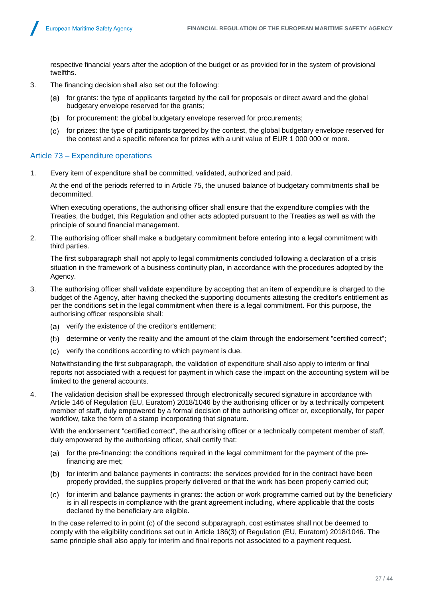respective financial years after the adoption of the budget or as provided for in the system of provisional twelfths.

- 3. The financing decision shall also set out the following:
	- for grants: the type of applicants targeted by the call for proposals or direct award and the global budgetary envelope reserved for the grants;
	- (b) for procurement: the global budgetary envelope reserved for procurements;
	- for prizes: the type of participants targeted by the contest, the global budgetary envelope reserved for the contest and a specific reference for prizes with a unit value of EUR 1 000 000 or more.

## Article 73 – Expenditure operations

1. Every item of expenditure shall be committed, validated, authorized and paid.

At the end of the periods referred to in Article 75, the unused balance of budgetary commitments shall be decommitted.

When executing operations, the authorising officer shall ensure that the expenditure complies with the Treaties, the budget, this Regulation and other acts adopted pursuant to the Treaties as well as with the principle of sound financial management.

2. The authorising officer shall make a budgetary commitment before entering into a legal commitment with third parties.

The first subparagraph shall not apply to legal commitments concluded following a declaration of a crisis situation in the framework of a business continuity plan, in accordance with the procedures adopted by the Agency.

- 3. The authorising officer shall validate expenditure by accepting that an item of expenditure is charged to the budget of the Agency, after having checked the supporting documents attesting the creditor's entitlement as per the conditions set in the legal commitment when there is a legal commitment. For this purpose, the authorising officer responsible shall:
	- (a) verify the existence of the creditor's entitlement;
	- determine or verify the reality and the amount of the claim through the endorsement "certified correct";
	- (c) verify the conditions according to which payment is due.

Notwithstanding the first subparagraph, the validation of expenditure shall also apply to interim or final reports not associated with a request for payment in which case the impact on the accounting system will be limited to the general accounts.

4. The validation decision shall be expressed through electronically secured signature in accordance with Article 146 of Regulation (EU, Euratom) 2018/1046 by the authorising officer or by a technically competent member of staff, duly empowered by a formal decision of the authorising officer or, exceptionally, for paper workflow, take the form of a stamp incorporating that signature.

With the endorsement "certified correct", the authorising officer or a technically competent member of staff, duly empowered by the authorising officer, shall certify that:

- for the pre-financing: the conditions required in the legal commitment for the payment of the prefinancing are met;
- for interim and balance payments in contracts: the services provided for in the contract have been properly provided, the supplies properly delivered or that the work has been properly carried out;
- for interim and balance payments in grants: the action or work programme carried out by the beneficiary is in all respects in compliance with the grant agreement including, where applicable that the costs declared by the beneficiary are eligible.

In the case referred to in point (c) of the second subparagraph, cost estimates shall not be deemed to comply with the eligibility conditions set out in Article 186(3) of Regulation (EU, Euratom) 2018/1046. The same principle shall also apply for interim and final reports not associated to a payment request.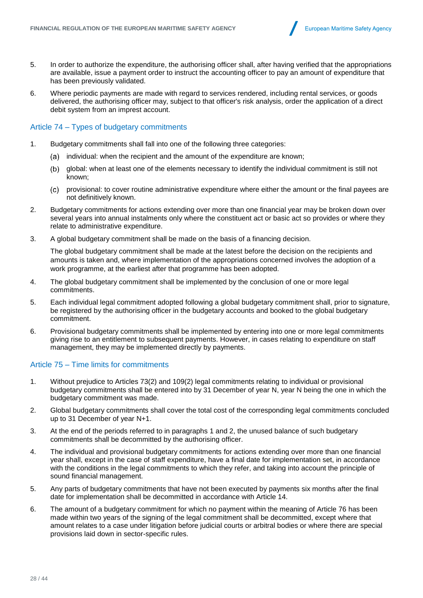

- 5. In order to authorize the expenditure, the authorising officer shall, after having verified that the appropriations are available, issue a payment order to instruct the accounting officer to pay an amount of expenditure that has been previously validated.
- 6. Where periodic payments are made with regard to services rendered, including rental services, or goods delivered, the authorising officer may, subject to that officer's risk analysis, order the application of a direct debit system from an imprest account.

## Article 74 – Types of budgetary commitments

- 1. Budgetary commitments shall fall into one of the following three categories:
	- (a) individual: when the recipient and the amount of the expenditure are known;
	- global: when at least one of the elements necessary to identify the individual commitment is still not known;
	- provisional: to cover routine administrative expenditure where either the amount or the final payees are not definitively known.
- 2. Budgetary commitments for actions extending over more than one financial year may be broken down over several years into annual instalments only where the constituent act or basic act so provides or where they relate to administrative expenditure.
- 3. A global budgetary commitment shall be made on the basis of a financing decision.

The global budgetary commitment shall be made at the latest before the decision on the recipients and amounts is taken and, where implementation of the appropriations concerned involves the adoption of a work programme, at the earliest after that programme has been adopted.

- 4. The global budgetary commitment shall be implemented by the conclusion of one or more legal commitments.
- 5. Each individual legal commitment adopted following a global budgetary commitment shall, prior to signature, be registered by the authorising officer in the budgetary accounts and booked to the global budgetary commitment.
- 6. Provisional budgetary commitments shall be implemented by entering into one or more legal commitments giving rise to an entitlement to subsequent payments. However, in cases relating to expenditure on staff management, they may be implemented directly by payments.

## Article 75 – Time limits for commitments

- 1. Without prejudice to Articles 73(2) and 109(2) legal commitments relating to individual or provisional budgetary commitments shall be entered into by 31 December of year N, year N being the one in which the budgetary commitment was made.
- 2. Global budgetary commitments shall cover the total cost of the corresponding legal commitments concluded up to 31 December of year N+1.
- 3. At the end of the periods referred to in paragraphs 1 and 2, the unused balance of such budgetary commitments shall be decommitted by the authorising officer.
- 4. The individual and provisional budgetary commitments for actions extending over more than one financial year shall, except in the case of staff expenditure, have a final date for implementation set, in accordance with the conditions in the legal commitments to which they refer, and taking into account the principle of sound financial management.
- 5. Any parts of budgetary commitments that have not been executed by payments six months after the final date for implementation shall be decommitted in accordance with Article 14.
- 6. The amount of a budgetary commitment for which no payment within the meaning of Article 76 has been made within two years of the signing of the legal commitment shall be decommitted, except where that amount relates to a case under litigation before judicial courts or arbitral bodies or where there are special provisions laid down in sector-specific rules.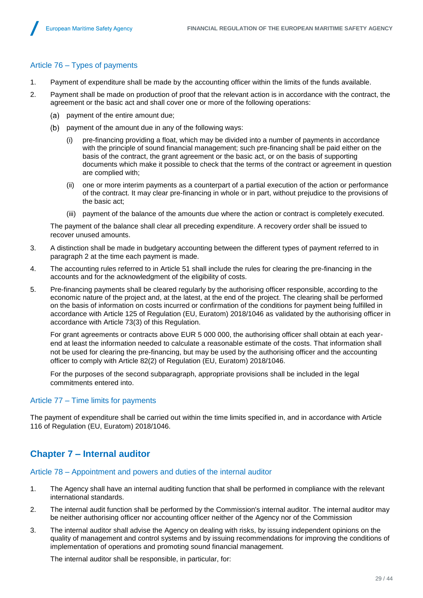# Article 76 – Types of payments

- 1. Payment of expenditure shall be made by the accounting officer within the limits of the funds available.
- 2. Payment shall be made on production of proof that the relevant action is in accordance with the contract, the agreement or the basic act and shall cover one or more of the following operations:
	- (a) payment of the entire amount due;
	- $(b)$  payment of the amount due in any of the following ways:
		- (i) pre-financing providing a float, which may be divided into a number of payments in accordance with the principle of sound financial management; such pre-financing shall be paid either on the basis of the contract, the grant agreement or the basic act, or on the basis of supporting documents which make it possible to check that the terms of the contract or agreement in question are complied with;
		- (ii) one or more interim payments as a counterpart of a partial execution of the action or performance of the contract. It may clear pre-financing in whole or in part, without prejudice to the provisions of the basic act;
		- (iii) payment of the balance of the amounts due where the action or contract is completely executed.

The payment of the balance shall clear all preceding expenditure. A recovery order shall be issued to recover unused amounts.

- 3. A distinction shall be made in budgetary accounting between the different types of payment referred to in paragraph 2 at the time each payment is made.
- 4. The accounting rules referred to in Article 51 shall include the rules for clearing the pre-financing in the accounts and for the acknowledgment of the eligibility of costs.
- 5. Pre-financing payments shall be cleared regularly by the authorising officer responsible, according to the economic nature of the project and, at the latest, at the end of the project. The clearing shall be performed on the basis of information on costs incurred or confirmation of the conditions for payment being fulfilled in accordance with Article 125 of Regulation (EU, Euratom) 2018/1046 as validated by the authorising officer in accordance with Article 73(3) of this Regulation.

For grant agreements or contracts above EUR 5 000 000, the authorising officer shall obtain at each yearend at least the information needed to calculate a reasonable estimate of the costs. That information shall not be used for clearing the pre-financing, but may be used by the authorising officer and the accounting officer to comply with Article 82(2) of Regulation (EU, Euratom) 2018/1046.

For the purposes of the second subparagraph, appropriate provisions shall be included in the legal commitments entered into.

## Article 77 – Time limits for payments

The payment of expenditure shall be carried out within the time limits specified in, and in accordance with Article 116 of Regulation (EU, Euratom) 2018/1046.

# <span id="page-30-0"></span>**Chapter 7 – Internal auditor**

## Article 78 – Appointment and powers and duties of the internal auditor

- 1. The Agency shall have an internal auditing function that shall be performed in compliance with the relevant international standards.
- 2. The internal audit function shall be performed by the Commission's internal auditor. The internal auditor may be neither authorising officer nor accounting officer neither of the Agency nor of the Commission
- 3. The internal auditor shall advise the Agency on dealing with risks, by issuing independent opinions on the quality of management and control systems and by issuing recommendations for improving the conditions of implementation of operations and promoting sound financial management.

The internal auditor shall be responsible, in particular, for: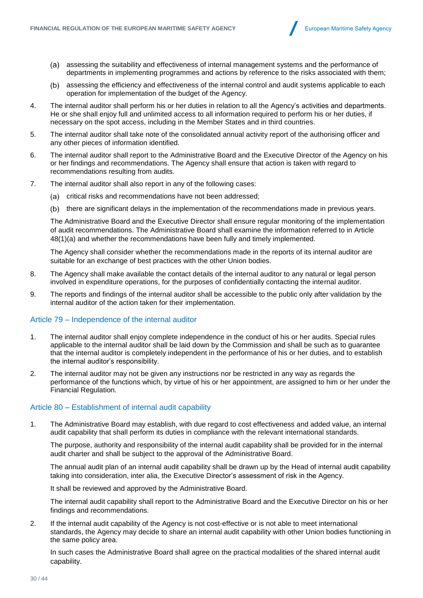

- (a) assessing the suitability and effectiveness of internal management systems and the performance of departments in implementing programmes and actions by reference to the risks associated with them;
- (b) assessing the efficiency and effectiveness of the internal control and audit systems applicable to each operation for implementation of the budget of the Agency.
- 4. The internal auditor shall perform his or her duties in relation to all the Agency's activities and departments. He or she shall enjoy full and unlimited access to all information required to perform his or her duties, if necessary on the spot access, including in the Member States and in third countries.
- 5. The internal auditor shall take note of the consolidated annual activity report of the authorising officer and any other pieces of information identified.
- 6. The internal auditor shall report to the Administrative Board and the Executive Director of the Agency on his or her findings and recommendations. The Agency shall ensure that action is taken with regard to recommendations resulting from audits.
- 7. The internal auditor shall also report in any of the following cases:
	- (a) critical risks and recommendations have not been addressed:
	- (b) there are significant delays in the implementation of the recommendations made in previous years.

The Administrative Board and the Executive Director shall ensure regular monitoring of the implementation of audit recommendations. The Administrative Board shall examine the information referred to in Article 48(1)(a) and whether the recommendations have been fully and timely implemented.

The Agency shall consider whether the recommendations made in the reports of its internal auditor are suitable for an exchange of best practices with the other Union bodies.

- 8. The Agency shall make available the contact details of the internal auditor to any natural or legal person involved in expenditure operations, for the purposes of confidentially contacting the internal auditor.
- 9. The reports and findings of the internal auditor shall be accessible to the public only after validation by the internal auditor of the action taken for their implementation.

## Article 79 – Independence of the internal auditor

- 1. The internal auditor shall enjoy complete independence in the conduct of his or her audits. Special rules applicable to the internal auditor shall be laid down by the Commission and shall be such as to guarantee that the internal auditor is completely independent in the performance of his or her duties, and to establish the internal auditor's responsibility.
- 2. The internal auditor may not be given any instructions nor be restricted in any way as regards the performance of the functions which, by virtue of his or her appointment, are assigned to him or her under the Financial Regulation.

#### Article 80 – Establishment of internal audit capability

1. The Administrative Board may establish, with due regard to cost effectiveness and added value, an internal audit capability that shall perform its duties in compliance with the relevant international standards.

The purpose, authority and responsibility of the internal audit capability shall be provided for in the internal audit charter and shall be subject to the approval of the Administrative Board.

The annual audit plan of an internal audit capability shall be drawn up by the Head of internal audit capability taking into consideration, inter alia, the Executive Director's assessment of risk in the Agency.

It shall be reviewed and approved by the Administrative Board.

The internal audit capability shall report to the Administrative Board and the Executive Director on his or her findings and recommendations.

2. If the internal audit capability of the Agency is not cost-effective or is not able to meet international standards, the Agency may decide to share an internal audit capability with other Union bodies functioning in the same policy area.

In such cases the Administrative Board shall agree on the practical modalities of the shared internal audit capability.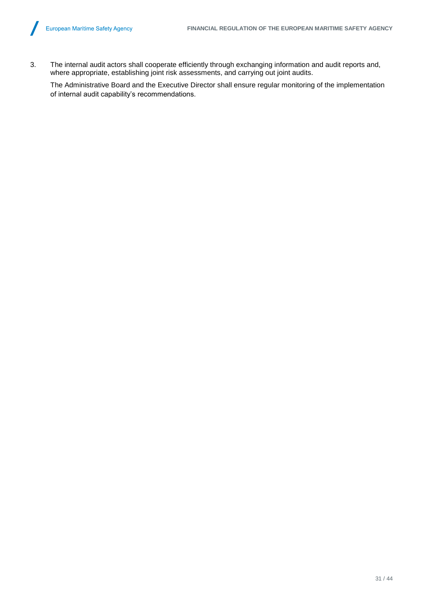3. The internal audit actors shall cooperate efficiently through exchanging information and audit reports and, where appropriate, establishing joint risk assessments, and carrying out joint audits.

The Administrative Board and the Executive Director shall ensure regular monitoring of the implementation of internal audit capability's recommendations.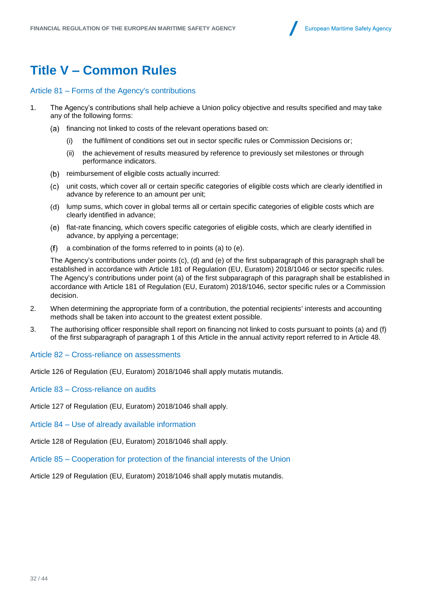# <span id="page-33-0"></span>**Title V – Common Rules**

#### Article 81 – Forms of the Agency's contributions

- 1. The Agency's contributions shall help achieve a Union policy objective and results specified and may take any of the following forms:
	- (a) financing not linked to costs of the relevant operations based on:
		- (i) the fulfilment of conditions set out in sector specific rules or Commission Decisions or;
		- (ii) the achievement of results measured by reference to previously set milestones or through performance indicators.
	- (b) reimbursement of eligible costs actually incurred:
	- unit costs, which cover all or certain specific categories of eligible costs which are clearly identified in advance by reference to an amount per unit;
	- (d) lump sums, which cover in global terms all or certain specific categories of eligible costs which are clearly identified in advance;
	- flat-rate financing, which covers specific categories of eligible costs, which are clearly identified in advance, by applying a percentage;
	- a combination of the forms referred to in points (a) to (e).  $(f)$

The Agency's contributions under points (c), (d) and (e) of the first subparagraph of this paragraph shall be established in accordance with Article 181 of Regulation (EU, Euratom) 2018/1046 or sector specific rules. The Agency's contributions under point (a) of the first subparagraph of this paragraph shall be established in accordance with Article 181 of Regulation (EU, Euratom) 2018/1046, sector specific rules or a Commission decision.

- 2. When determining the appropriate form of a contribution, the potential recipients' interests and accounting methods shall be taken into account to the greatest extent possible.
- 3. The authorising officer responsible shall report on financing not linked to costs pursuant to points (a) and (f) of the first subparagraph of paragraph 1 of this Article in the annual activity report referred to in Article 48.

#### Article 82 – Cross-reliance on assessments

Article 126 of Regulation (EU, Euratom) 2018/1046 shall apply mutatis mutandis.

Article 83 – Cross-reliance on audits

Article 127 of Regulation (EU, Euratom) 2018/1046 shall apply.

Article 84 – Use of already available information

Article 128 of Regulation (EU, Euratom) 2018/1046 shall apply.

Article 85 – Cooperation for protection of the financial interests of the Union

Article 129 of Regulation (EU, Euratom) 2018/1046 shall apply mutatis mutandis.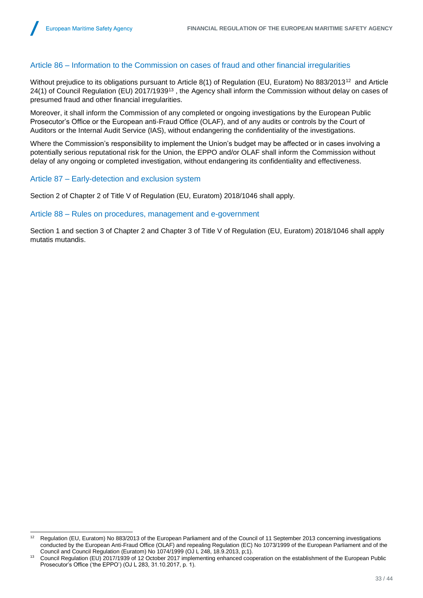# Article 86 – Information to the Commission on cases of fraud and other financial irregularities

Without prejudice to its obligations pursuant to Article 8(1) of Regulation (EU, Euratom) No 883/2013<sup>12</sup> and Article 24(1) of Council Regulation (EU) 2017/1939<sup>13</sup> , the Agency shall inform the Commission without delay on cases of presumed fraud and other financial irregularities.

Moreover, it shall inform the Commission of any completed or ongoing investigations by the European Public Prosecutor's Office or the European anti-Fraud Office (OLAF), and of any audits or controls by the Court of Auditors or the Internal Audit Service (IAS), without endangering the confidentiality of the investigations.

Where the Commission's responsibility to implement the Union's budget may be affected or in cases involving a potentially serious reputational risk for the Union, the EPPO and/or OLAF shall inform the Commission without delay of any ongoing or completed investigation, without endangering its confidentiality and effectiveness.

## Article 87 – Early-detection and exclusion system

Section 2 of Chapter 2 of Title V of Regulation (EU, Euratom) 2018/1046 shall apply.

#### Article 88 – Rules on procedures, management and e-government

Section 1 and section 3 of Chapter 2 and Chapter 3 of Title V of Regulation (EU, Euratom) 2018/1046 shall apply mutatis mutandis.

 $12$ Regulation (EU, Euratom) No 883/2013 of the European Parliament and of the Council of 11 September 2013 concerning investigations conducted by the European Anti-Fraud Office (OLAF) and repealing Regulation (EC) No 1073/1999 of the European Parliament and of the Council and Council Regulation (Euratom) No 1074/1999 (OJ L 248, 18.9.2013, p;1).

<sup>13</sup> Council Regulation (EU) 2017/1939 of 12 October 2017 implementing enhanced cooperation on the establishment of the European Public Prosecutor's Office ('the EPPO') (OJ L 283, 31.10.2017, p. 1).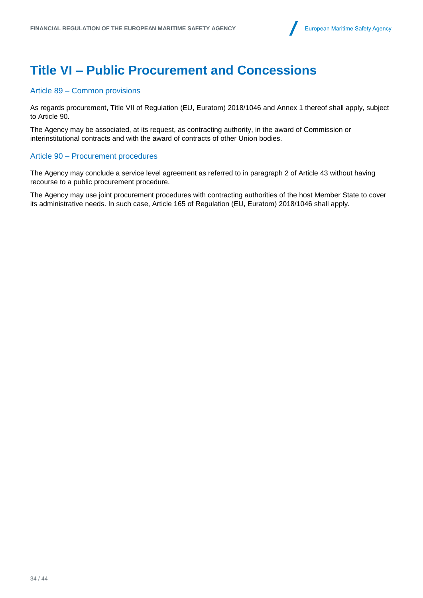# <span id="page-35-0"></span>**Title VI – Public Procurement and Concessions**

# Article 89 – Common provisions

As regards procurement, Title VII of Regulation (EU, Euratom) 2018/1046 and Annex 1 thereof shall apply, subject to Article 90.

The Agency may be associated, at its request, as contracting authority, in the award of Commission or interinstitutional contracts and with the award of contracts of other Union bodies.

## Article 90 – Procurement procedures

The Agency may conclude a service level agreement as referred to in paragraph 2 of Article 43 without having recourse to a public procurement procedure.

The Agency may use joint procurement procedures with contracting authorities of the host Member State to cover its administrative needs. In such case, Article 165 of Regulation (EU, Euratom) 2018/1046 shall apply.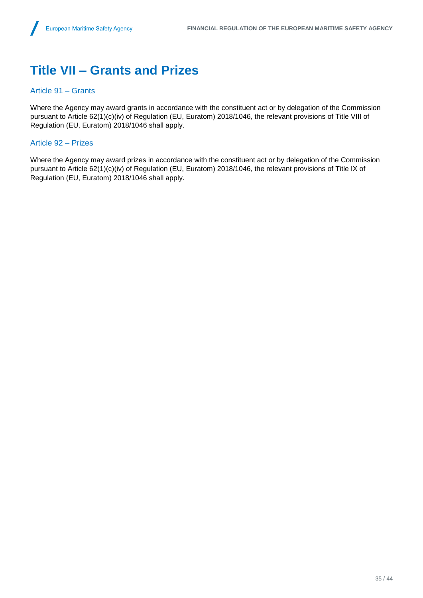# <span id="page-36-0"></span>**Title VII – Grants and Prizes**

# Article 91 – Grants

Where the Agency may award grants in accordance with the constituent act or by delegation of the Commission pursuant to Article 62(1)(c)(iv) of Regulation (EU, Euratom) 2018/1046, the relevant provisions of Title VIII of Regulation (EU, Euratom) 2018/1046 shall apply.

#### Article 92 – Prizes

Where the Agency may award prizes in accordance with the constituent act or by delegation of the Commission pursuant to Article 62(1)(c)(iv) of Regulation (EU, Euratom) 2018/1046, the relevant provisions of Title IX of Regulation (EU, Euratom) 2018/1046 shall apply.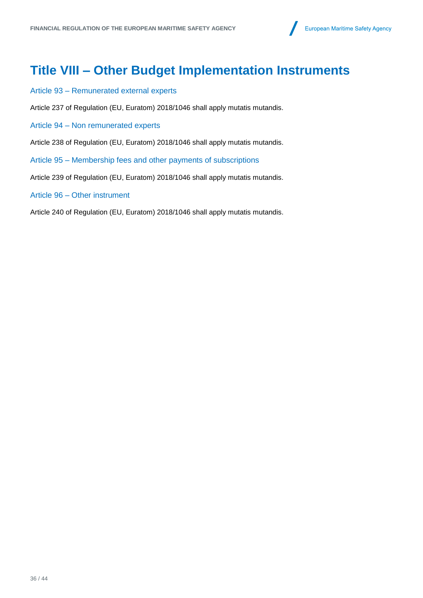# <span id="page-37-0"></span>**Title VIII – Other Budget Implementation Instruments**

- Article 93 Remunerated external experts
- Article 237 of Regulation (EU, Euratom) 2018/1046 shall apply mutatis mutandis.
- Article 94 Non remunerated experts
- Article 238 of Regulation (EU, Euratom) 2018/1046 shall apply mutatis mutandis.
- Article 95 Membership fees and other payments of subscriptions
- Article 239 of Regulation (EU, Euratom) 2018/1046 shall apply mutatis mutandis.

#### Article 96 – Other instrument

Article 240 of Regulation (EU, Euratom) 2018/1046 shall apply mutatis mutandis.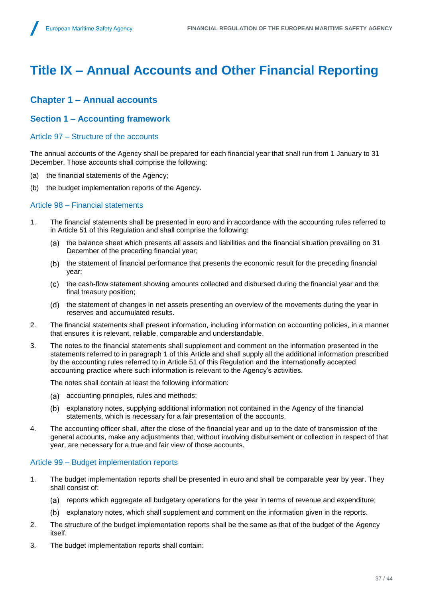# <span id="page-38-1"></span><span id="page-38-0"></span>**Title IX – Annual Accounts and Other Financial Reporting**

# **Chapter 1 – Annual accounts**

# <span id="page-38-2"></span>**Section 1 – Accounting framework**

## Article 97 – Structure of the accounts

The annual accounts of the Agency shall be prepared for each financial year that shall run from 1 January to 31 December. Those accounts shall comprise the following:

- (a) the financial statements of the Agency;
- (b) the budget implementation reports of the Agency.

## Article 98 – Financial statements

- 1. The financial statements shall be presented in euro and in accordance with the accounting rules referred to in Article 51 of this Regulation and shall comprise the following:
	- (a) the balance sheet which presents all assets and liabilities and the financial situation prevailing on 31 December of the preceding financial year;
	- (b) the statement of financial performance that presents the economic result for the preceding financial year;
	- (c) the cash-flow statement showing amounts collected and disbursed during the financial year and the final treasury position;
	- (d) the statement of changes in net assets presenting an overview of the movements during the year in reserves and accumulated results.
- 2. The financial statements shall present information, including information on accounting policies, in a manner that ensures it is relevant, reliable, comparable and understandable.
- 3. The notes to the financial statements shall supplement and comment on the information presented in the statements referred to in paragraph 1 of this Article and shall supply all the additional information prescribed by the accounting rules referred to in Article 51 of this Regulation and the internationally accepted accounting practice where such information is relevant to the Agency's activities.

The notes shall contain at least the following information:

- (a) accounting principles, rules and methods;
- explanatory notes, supplying additional information not contained in the Agency of the financial statements, which is necessary for a fair presentation of the accounts.
- 4. The accounting officer shall, after the close of the financial year and up to the date of transmission of the general accounts, make any adjustments that, without involving disbursement or collection in respect of that year, are necessary for a true and fair view of those accounts.

## Article 99 – Budget implementation reports

- 1. The budget implementation reports shall be presented in euro and shall be comparable year by year. They shall consist of:
	- (a) reports which aggregate all budgetary operations for the year in terms of revenue and expenditure;
	- explanatory notes, which shall supplement and comment on the information given in the reports.
- 2. The structure of the budget implementation reports shall be the same as that of the budget of the Agency itself.
- 3. The budget implementation reports shall contain: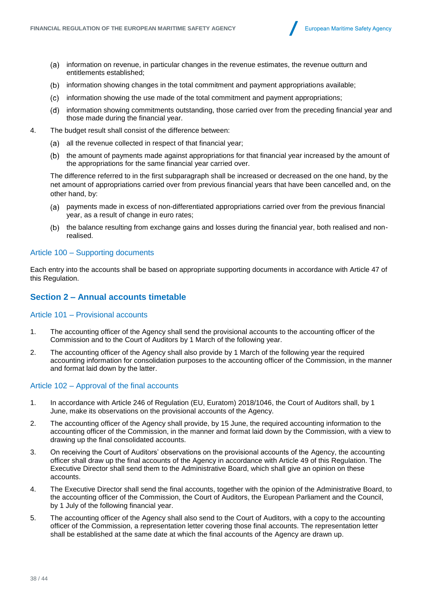- (a) information on revenue, in particular changes in the revenue estimates, the revenue outturn and entitlements established;
- (b) information showing changes in the total commitment and payment appropriations available;
- information showing the use made of the total commitment and payment appropriations;
- information showing commitments outstanding, those carried over from the preceding financial year and those made during the financial year.
- 4. The budget result shall consist of the difference between:
	- (a) all the revenue collected in respect of that financial year;
	- (b) the amount of payments made against appropriations for that financial year increased by the amount of the appropriations for the same financial year carried over.

The difference referred to in the first subparagraph shall be increased or decreased on the one hand, by the net amount of appropriations carried over from previous financial years that have been cancelled and, on the other hand, by:

- payments made in excess of non-differentiated appropriations carried over from the previous financial year, as a result of change in euro rates;
- (b) the balance resulting from exchange gains and losses during the financial year, both realised and nonrealised.

## Article 100 – Supporting documents

Each entry into the accounts shall be based on appropriate supporting documents in accordance with Article 47 of this Regulation.

# <span id="page-39-0"></span>**Section 2 – Annual accounts timetable**

#### Article 101 – Provisional accounts

- 1. The accounting officer of the Agency shall send the provisional accounts to the accounting officer of the Commission and to the Court of Auditors by 1 March of the following year.
- 2. The accounting officer of the Agency shall also provide by 1 March of the following year the required accounting information for consolidation purposes to the accounting officer of the Commission, in the manner and format laid down by the latter.

## Article 102 – Approval of the final accounts

- 1. In accordance with Article 246 of Regulation (EU, Euratom) 2018/1046, the Court of Auditors shall, by 1 June, make its observations on the provisional accounts of the Agency.
- 2. The accounting officer of the Agency shall provide, by 15 June, the required accounting information to the accounting officer of the Commission, in the manner and format laid down by the Commission, with a view to drawing up the final consolidated accounts.
- 3. On receiving the Court of Auditors' observations on the provisional accounts of the Agency, the accounting officer shall draw up the final accounts of the Agency in accordance with Article 49 of this Regulation. The Executive Director shall send them to the Administrative Board, which shall give an opinion on these accounts.
- 4. The Executive Director shall send the final accounts, together with the opinion of the Administrative Board, to the accounting officer of the Commission, the Court of Auditors, the European Parliament and the Council, by 1 July of the following financial year.
- 5. The accounting officer of the Agency shall also send to the Court of Auditors, with a copy to the accounting officer of the Commission, a representation letter covering those final accounts. The representation letter shall be established at the same date at which the final accounts of the Agency are drawn up.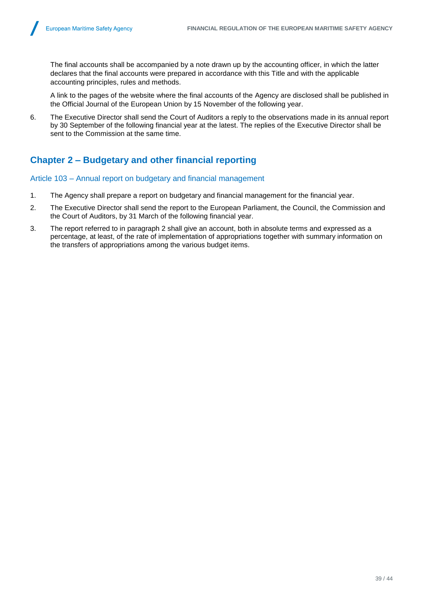The final accounts shall be accompanied by a note drawn up by the accounting officer, in which the latter declares that the final accounts were prepared in accordance with this Title and with the applicable accounting principles, rules and methods.

A link to the pages of the website where the final accounts of the Agency are disclosed shall be published in the Official Journal of the European Union by 15 November of the following year.

6. The Executive Director shall send the Court of Auditors a reply to the observations made in its annual report by 30 September of the following financial year at the latest. The replies of the Executive Director shall be sent to the Commission at the same time.

# <span id="page-40-0"></span>**Chapter 2 – Budgetary and other financial reporting**

Article 103 – Annual report on budgetary and financial management

- 1. The Agency shall prepare a report on budgetary and financial management for the financial year.
- 2. The Executive Director shall send the report to the European Parliament, the Council, the Commission and the Court of Auditors, by 31 March of the following financial year.
- 3. The report referred to in paragraph 2 shall give an account, both in absolute terms and expressed as a percentage, at least, of the rate of implementation of appropriations together with summary information on the transfers of appropriations among the various budget items.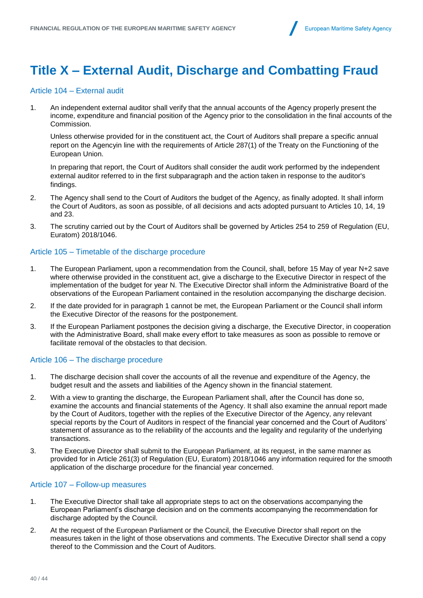# <span id="page-41-0"></span>**Title X – External Audit, Discharge and Combatting Fraud**

# Article 104 – External audit

1. An independent external auditor shall verify that the annual accounts of the Agency properly present the income, expenditure and financial position of the Agency prior to the consolidation in the final accounts of the Commission.

Unless otherwise provided for in the constituent act, the Court of Auditors shall prepare a specific annual report on the Agencyin line with the requirements of Article 287(1) of the Treaty on the Functioning of the European Union.

In preparing that report, the Court of Auditors shall consider the audit work performed by the independent external auditor referred to in the first subparagraph and the action taken in response to the auditor's findings.

- 2. The Agency shall send to the Court of Auditors the budget of the Agency, as finally adopted. It shall inform the Court of Auditors, as soon as possible, of all decisions and acts adopted pursuant to Articles 10, 14, 19 and 23.
- 3. The scrutiny carried out by the Court of Auditors shall be governed by Articles 254 to 259 of Regulation (EU, Euratom) 2018/1046.

#### Article 105 – Timetable of the discharge procedure

- 1. The European Parliament, upon a recommendation from the Council, shall, before 15 May of year N+2 save where otherwise provided in the constituent act, give a discharge to the Executive Director in respect of the implementation of the budget for year N. The Executive Director shall inform the Administrative Board of the observations of the European Parliament contained in the resolution accompanying the discharge decision.
- 2. If the date provided for in paragraph 1 cannot be met, the European Parliament or the Council shall inform the Executive Director of the reasons for the postponement.
- 3. If the European Parliament postpones the decision giving a discharge, the Executive Director, in cooperation with the Administrative Board, shall make every effort to take measures as soon as possible to remove or facilitate removal of the obstacles to that decision.

#### Article 106 – The discharge procedure

- 1. The discharge decision shall cover the accounts of all the revenue and expenditure of the Agency, the budget result and the assets and liabilities of the Agency shown in the financial statement.
- 2. With a view to granting the discharge, the European Parliament shall, after the Council has done so, examine the accounts and financial statements of the Agency. It shall also examine the annual report made by the Court of Auditors, together with the replies of the Executive Director of the Agency, any relevant special reports by the Court of Auditors in respect of the financial year concerned and the Court of Auditors' statement of assurance as to the reliability of the accounts and the legality and regularity of the underlying transactions.
- 3. The Executive Director shall submit to the European Parliament, at its request, in the same manner as provided for in Article 261(3) of Regulation (EU, Euratom) 2018/1046 any information required for the smooth application of the discharge procedure for the financial year concerned.

#### Article 107 – Follow-up measures

- 1. The Executive Director shall take all appropriate steps to act on the observations accompanying the European Parliament's discharge decision and on the comments accompanying the recommendation for discharge adopted by the Council.
- 2. At the request of the European Parliament or the Council, the Executive Director shall report on the measures taken in the light of those observations and comments. The Executive Director shall send a copy thereof to the Commission and the Court of Auditors.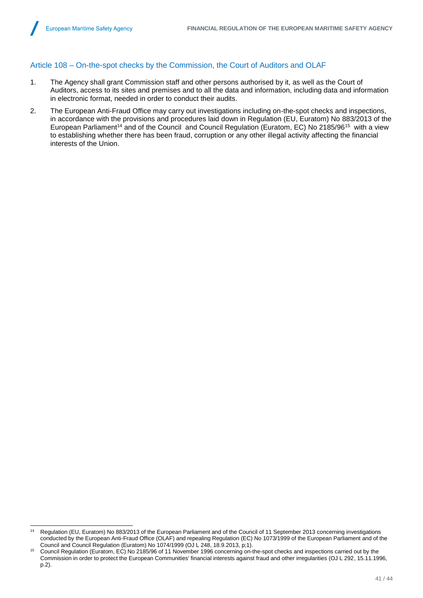# Article 108 – On-the-spot checks by the Commission, the Court of Auditors and OLAF

- 1. The Agency shall grant Commission staff and other persons authorised by it, as well as the Court of Auditors, access to its sites and premises and to all the data and information, including data and information in electronic format, needed in order to conduct their audits.
- 2. The European Anti-Fraud Office may carry out investigations including on-the-spot checks and inspections, in accordance with the provisions and procedures laid down in Regulation (EU, Euratom) No 883/2013 of the European Parliament<sup>14</sup> and of the Council and Council Regulation (Euratom, EC) No 2185/96<sup>15</sup> with a view to establishing whether there has been fraud, corruption or any other illegal activity affecting the financial interests of the Union.

 $14$ Regulation (EU, Euratom) No 883/2013 of the European Parliament and of the Council of 11 September 2013 concerning investigations conducted by the European Anti-Fraud Office (OLAF) and repealing Regulation (EC) No 1073/1999 of the European Parliament and of the Council and Council Regulation (Euratom) No 1074/1999 (OJ L 248, 18.9.2013, p;1).

<sup>15</sup> Council Regulation (Euratom, EC) No 2185/96 of 11 November 1996 concerning on-the-spot checks and inspections carried out by the Commission in order to protect the European Communities' financial interests against fraud and other irregularities (OJ L 292, 15.11.1996, p.2).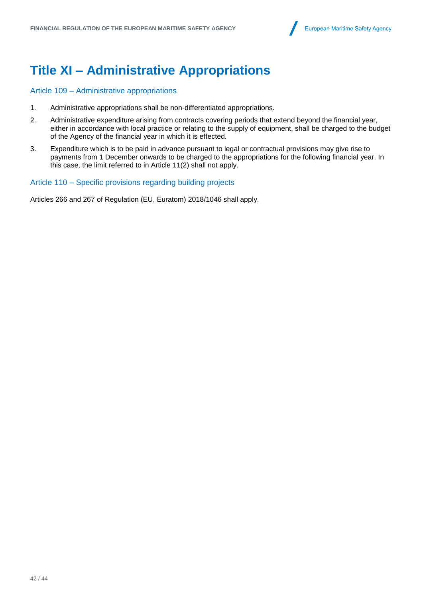# <span id="page-43-0"></span>**Title XI – Administrative Appropriations**

## Article 109 – Administrative appropriations

- 1. Administrative appropriations shall be non-differentiated appropriations.
- 2. Administrative expenditure arising from contracts covering periods that extend beyond the financial year, either in accordance with local practice or relating to the supply of equipment, shall be charged to the budget of the Agency of the financial year in which it is effected.
- 3. Expenditure which is to be paid in advance pursuant to legal or contractual provisions may give rise to payments from 1 December onwards to be charged to the appropriations for the following financial year. In this case, the limit referred to in Article 11(2) shall not apply.

# Article 110 – Specific provisions regarding building projects

Articles 266 and 267 of Regulation (EU, Euratom) 2018/1046 shall apply.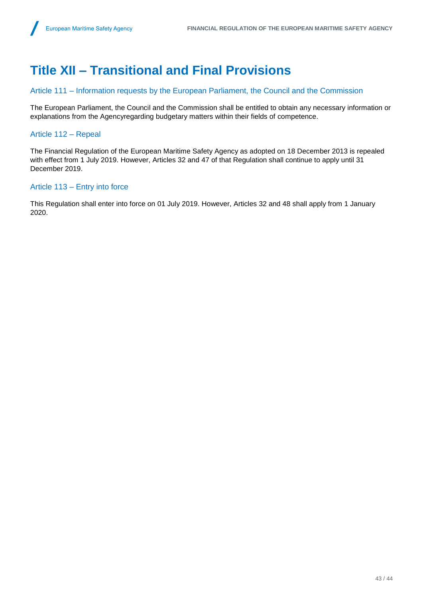# <span id="page-44-0"></span>**Title XII – Transitional and Final Provisions**

Article 111 – Information requests by the European Parliament, the Council and the Commission

The European Parliament, the Council and the Commission shall be entitled to obtain any necessary information or explanations from the Agencyregarding budgetary matters within their fields of competence.

# Article 112 – Repeal

The Financial Regulation of the European Maritime Safety Agency as adopted on 18 December 2013 is repealed with effect from 1 July 2019. However, Articles 32 and 47 of that Regulation shall continue to apply until 31 December 2019.

# Article 113 – Entry into force

This Regulation shall enter into force on 01 July 2019. However, Articles 32 and 48 shall apply from 1 January 2020.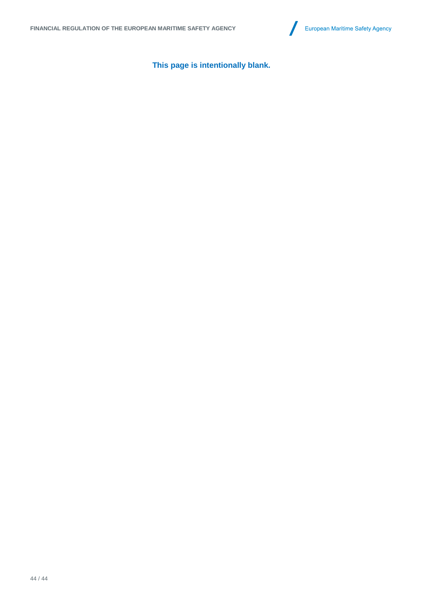

**This page is intentionally blank.**